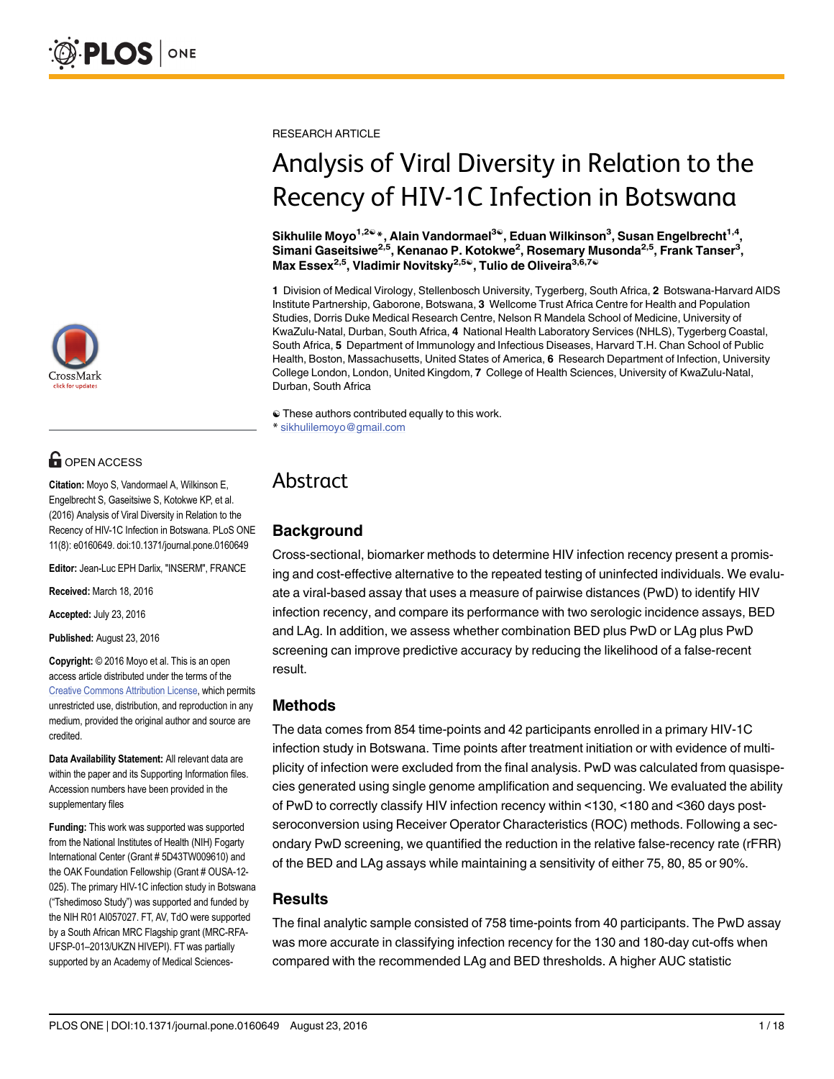

# **OPEN ACCESS**

Citation: Moyo S, Vandormael A, Wilkinson E, Engelbrecht S, Gaseitsiwe S, Kotokwe KP, et al. (2016) Analysis of Viral Diversity in Relation to the Recency of HIV-1C Infection in Botswana. PLoS ONE 11(8): e0160649. doi:10.1371/journal.pone.0160649

Editor: Jean-Luc EPH Darlix, "INSERM", FRANCE

Received: March 18, 2016

Accepted: July 23, 2016

Published: August 23, 2016

Copyright: © 2016 Moyo et al. This is an open access article distributed under the terms of the [Creative Commons Attribution License,](http://creativecommons.org/licenses/by/4.0/) which permits unrestricted use, distribution, and reproduction in any medium, provided the original author and source are credited.

Data Availability Statement: All relevant data are within the paper and its Supporting Information files. Accession numbers have been provided in the supplementary files

Funding: This work was supported was supported from the National Institutes of Health (NIH) Fogarty International Center (Grant # 5D43TW009610) and the OAK Foundation Fellowship (Grant # OUSA-12- 025). The primary HIV-1C infection study in Botswana ("Tshedimoso Study") was supported and funded by the NIH R01 AI057027. FT, AV, TdO were supported by a South African MRC Flagship grant (MRC-RFA-UFSP-01–2013/UKZN HIVEPI). FT was partially supported by an Academy of Medical SciencesRESEARCH ARTICLE

# Analysis of Viral Diversity in Relation to the Recency of HIV-1C Infection in Botswana

Sikhulile Moyo<sup>1,2ଢ</sup>\*, Alain Vandormael<sup>3ଢ</sup>, Eduan Wilkinson<sup>3</sup>, Susan Engelbrecht<sup>1,4</sup>, Simani Gaseitsiwe<sup>2,5</sup>, Kenanao P. Kotokwe<sup>2</sup>, Rosemary Musonda<sup>2,5</sup>, Frank Tanser<sup>3</sup>, Max Essex<sup>2,5</sup>, Vladimir Novitsky<sup>2,5®</sup>, Tulio de Oliveira<sup>3,6,7®</sup>

1 Division of Medical Virology, Stellenbosch University, Tygerberg, South Africa, 2 Botswana-Harvard AIDS Institute Partnership, Gaborone, Botswana, 3 Wellcome Trust Africa Centre for Health and Population Studies, Dorris Duke Medical Research Centre, Nelson R Mandela School of Medicine, University of KwaZulu-Natal, Durban, South Africa, 4 National Health Laboratory Services (NHLS), Tygerberg Coastal, South Africa, 5 Department of Immunology and Infectious Diseases, Harvard T.H. Chan School of Public Health, Boston, Massachusetts, United States of America, 6 Research Department of Infection, University College London, London, United Kingdom, 7 College of Health Sciences, University of KwaZulu-Natal, Durban, South Africa

☯ These authors contributed equally to this work. \* sikhulilemoyo@gmail.com

# Abstract

# **Background**

Cross-sectional, biomarker methods to determine HIV infection recency present a promising and cost-effective alternative to the repeated testing of uninfected individuals. We evaluate a viral-based assay that uses a measure of pairwise distances (PwD) to identify HIV infection recency, and compare its performance with two serologic incidence assays, BED and LAg. In addition, we assess whether combination BED plus PwD or LAg plus PwD screening can improve predictive accuracy by reducing the likelihood of a false-recent result.

## Methods

The data comes from 854 time-points and 42 participants enrolled in a primary HIV-1C infection study in Botswana. Time points after treatment initiation or with evidence of multiplicity of infection were excluded from the final analysis. PwD was calculated from quasispecies generated using single genome amplification and sequencing. We evaluated the ability of PwD to correctly classify HIV infection recency within <130, <180 and <360 days postseroconversion using Receiver Operator Characteristics (ROC) methods. Following a secondary PwD screening, we quantified the reduction in the relative false-recency rate (rFRR) of the BED and LAg assays while maintaining a sensitivity of either 75, 80, 85 or 90%.

#### **Results**

The final analytic sample consisted of 758 time-points from 40 participants. The PwD assay was more accurate in classifying infection recency for the 130 and 180-day cut-offs when compared with the recommended LAg and BED thresholds. A higher AUC statistic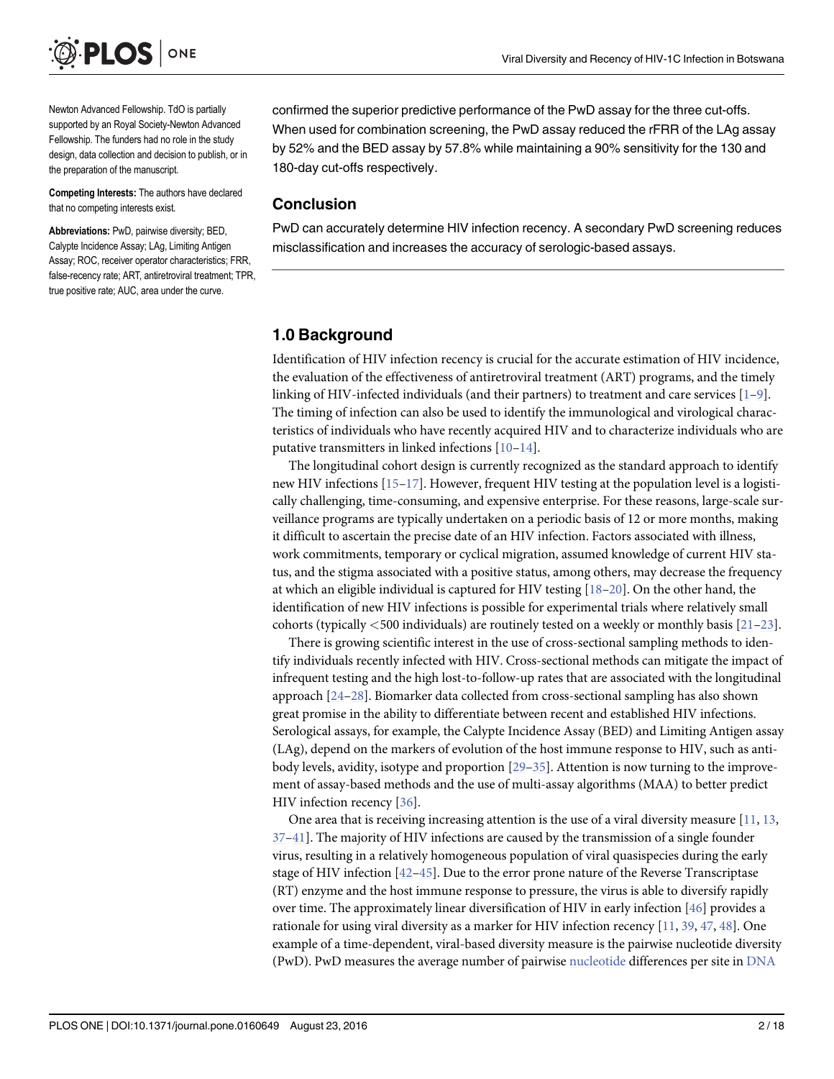<span id="page-1-0"></span>

Newton Advanced Fellowship. TdO is partially supported by an Royal Society-Newton Advanced Fellowship. The funders had no role in the study design, data collection and decision to publish, or in the preparation of the manuscript.

Competing Interests: The authors have declared that no competing interests exist.

Abbreviations: PwD, pairwise diversity; BED, Calypte Incidence Assay; LAg, Limiting Antigen Assay; ROC, receiver operator characteristics; FRR, false-recency rate; ART, antiretroviral treatment; TPR, true positive rate; AUC, area under the curve.

confirmed the superior predictive performance of the PwD assay for the three cut-offs. When used for combination screening, the PwD assay reduced the rFRR of the LAg assay by 52% and the BED assay by 57.8% while maintaining a 90% sensitivity for the 130 and 180-day cut-offs respectively.

#### Conclusion

PwD can accurately determine HIV infection recency. A secondary PwD screening reduces misclassification and increases the accuracy of serologic-based assays.

#### 1.0 Background

Identification of HIV infection recency is crucial for the accurate estimation of HIV incidence, the evaluation of the effectiveness of antiretroviral treatment (ART) programs, and the timely linking of HIV-infected individuals (and their partners) to treatment and care services  $[1-9]$  $[1-9]$  $[1-9]$  $[1-9]$ . The timing of infection can also be used to identify the immunological and virological characteristics of individuals who have recently acquired HIV and to characterize individuals who are putative transmitters in linked infections [[10](#page-13-0)–[14](#page-13-0)].

The longitudinal cohort design is currently recognized as the standard approach to identify new HIV infections  $[15-17]$  $[15-17]$  $[15-17]$ . However, frequent HIV testing at the population level is a logistically challenging, time-consuming, and expensive enterprise. For these reasons, large-scale surveillance programs are typically undertaken on a periodic basis of 12 or more months, making it difficult to ascertain the precise date of an HIV infection. Factors associated with illness, work commitments, temporary or cyclical migration, assumed knowledge of current HIV status, and the stigma associated with a positive status, among others, may decrease the frequency at which an eligible individual is captured for HIV testing [[18](#page-14-0)–[20\]](#page-14-0). On the other hand, the identification of new HIV infections is possible for experimental trials where relatively small cohorts (typically <500 individuals) are routinely tested on a weekly or monthly basis [[21](#page-14-0)–[23](#page-14-0)].

There is growing scientific interest in the use of cross-sectional sampling methods to identify individuals recently infected with HIV. Cross-sectional methods can mitigate the impact of infrequent testing and the high lost-to-follow-up rates that are associated with the longitudinal approach [[24](#page-14-0)–[28](#page-14-0)]. Biomarker data collected from cross-sectional sampling has also shown great promise in the ability to differentiate between recent and established HIV infections. Serological assays, for example, the Calypte Incidence Assay (BED) and Limiting Antigen assay (LAg), depend on the markers of evolution of the host immune response to HIV, such as antibody levels, avidity, isotype and proportion [\[29](#page-14-0)–[35\]](#page-15-0). Attention is now turning to the improvement of assay-based methods and the use of multi-assay algorithms (MAA) to better predict HIV infection recency [[36](#page-15-0)].

One area that is receiving increasing attention is the use of a viral diversity measure  $[11, 13, 13]$  $[11, 13, 13]$  $[11, 13, 13]$  $[11, 13, 13]$  $[11, 13, 13]$ [37](#page-15-0)–[41](#page-15-0)]. The majority of HIV infections are caused by the transmission of a single founder virus, resulting in a relatively homogeneous population of viral quasispecies during the early stage of HIV infection  $[42-45]$  $[42-45]$  $[42-45]$ . Due to the error prone nature of the Reverse Transcriptase (RT) enzyme and the host immune response to pressure, the virus is able to diversify rapidly over time. The approximately linear diversification of HIV in early infection [\[46\]](#page-15-0) provides a rationale for using viral diversity as a marker for HIV infection recency [\[11,](#page-13-0) [39,](#page-15-0) [47,](#page-15-0) [48\]](#page-15-0). One example of a time-dependent, viral-based diversity measure is the pairwise nucleotide diversity (PwD). PwD measures the average number of pairwise [nucleotide](https://en.wikipedia.org/wiki/Nucleotide) differences per site in [DNA](https://en.wikipedia.org/wiki/DNA)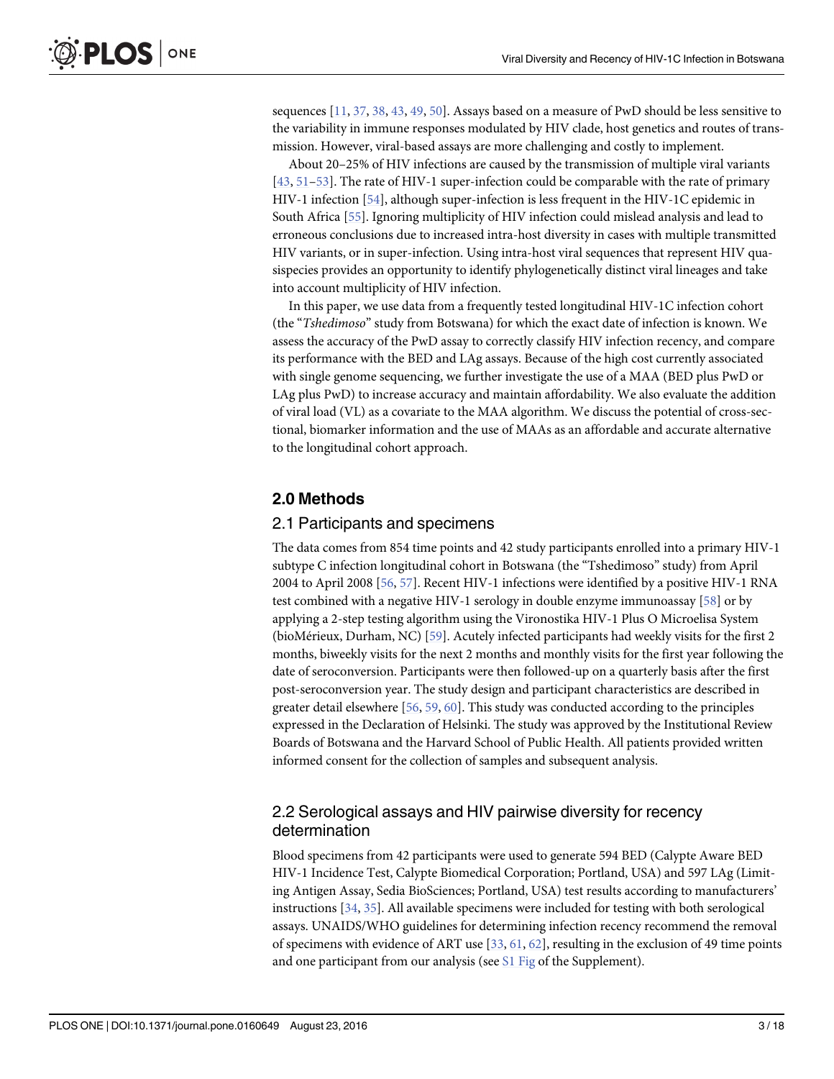<span id="page-2-0"></span>sequences  $[11, 37, 38, 43, 49, 50]$  $[11, 37, 38, 43, 49, 50]$  $[11, 37, 38, 43, 49, 50]$  $[11, 37, 38, 43, 49, 50]$  $[11, 37, 38, 43, 49, 50]$  $[11, 37, 38, 43, 49, 50]$  $[11, 37, 38, 43, 49, 50]$  $[11, 37, 38, 43, 49, 50]$  $[11, 37, 38, 43, 49, 50]$  $[11, 37, 38, 43, 49, 50]$  $[11, 37, 38, 43, 49, 50]$ . Assays based on a measure of PwD should be less sensitive to the variability in immune responses modulated by HIV clade, host genetics and routes of transmission. However, viral-based assays are more challenging and costly to implement.

About 20–25% of HIV infections are caused by the transmission of multiple viral variants [\[43](#page-15-0), [51](#page-15-0)–[53\]](#page-16-0). The rate of HIV-1 super-infection could be comparable with the rate of primary HIV-1 infection [\[54](#page-16-0)], although super-infection is less frequent in the HIV-1C epidemic in South Africa [[55](#page-16-0)]. Ignoring multiplicity of HIV infection could mislead analysis and lead to erroneous conclusions due to increased intra-host diversity in cases with multiple transmitted HIV variants, or in super-infection. Using intra-host viral sequences that represent HIV quasispecies provides an opportunity to identify phylogenetically distinct viral lineages and take into account multiplicity of HIV infection.

In this paper, we use data from a frequently tested longitudinal HIV-1C infection cohort (the "Tshedimoso" study from Botswana) for which the exact date of infection is known. We assess the accuracy of the PwD assay to correctly classify HIV infection recency, and compare its performance with the BED and LAg assays. Because of the high cost currently associated with single genome sequencing, we further investigate the use of a MAA (BED plus PwD or LAg plus PwD) to increase accuracy and maintain affordability. We also evaluate the addition of viral load (VL) as a covariate to the MAA algorithm. We discuss the potential of cross-sectional, biomarker information and the use of MAAs as an affordable and accurate alternative to the longitudinal cohort approach.

#### 2.0 Methods

#### 2.1 Participants and specimens

The data comes from 854 time points and 42 study participants enrolled into a primary HIV-1 subtype C infection longitudinal cohort in Botswana (the "Tshedimoso" study) from April 2004 to April 2008 [\[56](#page-16-0), [57](#page-16-0)]. Recent HIV-1 infections were identified by a positive HIV-1 RNA test combined with a negative HIV-1 serology in double enzyme immunoassay [[58](#page-16-0)] or by applying a 2-step testing algorithm using the Vironostika HIV-1 Plus O Microelisa System (bioMérieux, Durham, NC) [\[59\]](#page-16-0). Acutely infected participants had weekly visits for the first 2 months, biweekly visits for the next 2 months and monthly visits for the first year following the date of seroconversion. Participants were then followed-up on a quarterly basis after the first post-seroconversion year. The study design and participant characteristics are described in greater detail elsewhere [\[56,](#page-16-0) [59,](#page-16-0) [60\]](#page-16-0). This study was conducted according to the principles expressed in the Declaration of Helsinki. The study was approved by the Institutional Review Boards of Botswana and the Harvard School of Public Health. All patients provided written informed consent for the collection of samples and subsequent analysis.

## 2.2 Serological assays and HIV pairwise diversity for recency determination

Blood specimens from 42 participants were used to generate 594 BED (Calypte Aware BED HIV-1 Incidence Test, Calypte Biomedical Corporation; Portland, USA) and 597 LAg (Limiting Antigen Assay, Sedia BioSciences; Portland, USA) test results according to manufacturers' instructions [\[34,](#page-15-0) [35\]](#page-15-0). All available specimens were included for testing with both serological assays. UNAIDS/WHO guidelines for determining infection recency recommend the removal of specimens with evidence of ART use  $[33, 61, 62]$  $[33, 61, 62]$  $[33, 61, 62]$  $[33, 61, 62]$  $[33, 61, 62]$ , resulting in the exclusion of 49 time points and one participant from our analysis (see [S1 Fig](#page-11-0) of the Supplement).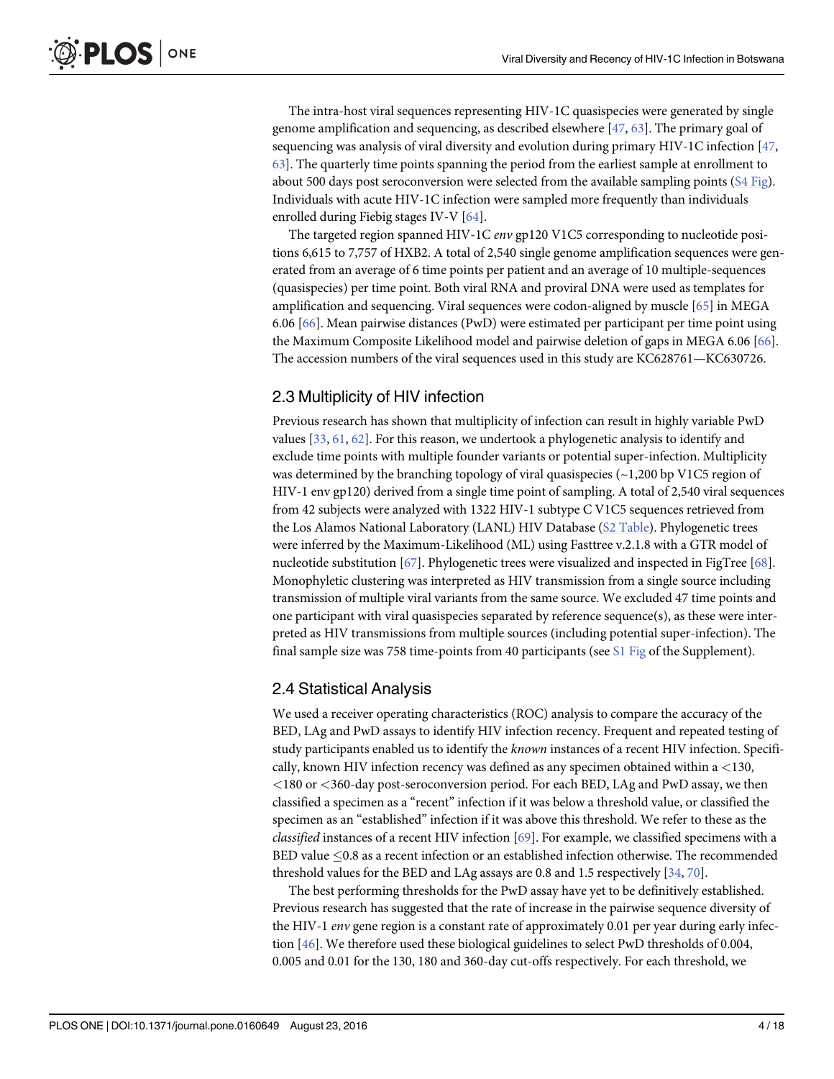<span id="page-3-0"></span>The intra-host viral sequences representing HIV-1C quasispecies were generated by single genome amplification and sequencing, as described elsewhere  $[47, 63]$  $[47, 63]$  $[47, 63]$  $[47, 63]$ . The primary goal of sequencing was analysis of viral diversity and evolution during primary HIV-1C infection  $[47, 100]$  $[47, 100]$  $[47, 100]$ [63\]](#page-16-0). The quarterly time points spanning the period from the earliest sample at enrollment to about 500 days post seroconversion were selected from the available sampling points ([S4 Fig\)](#page-12-0). Individuals with acute HIV-1C infection were sampled more frequently than individuals enrolled during Fiebig stages IV-V [\[64\]](#page-16-0).

The targeted region spanned HIV-1C env gp120 V1C5 corresponding to nucleotide positions 6,615 to 7,757 of HXB2. A total of 2,540 single genome amplification sequences were generated from an average of 6 time points per patient and an average of 10 multiple-sequences (quasispecies) per time point. Both viral RNA and proviral DNA were used as templates for amplification and sequencing. Viral sequences were codon-aligned by muscle [\[65\]](#page-16-0) in MEGA 6.06 [\[66\]](#page-16-0). Mean pairwise distances (PwD) were estimated per participant per time point using the Maximum Composite Likelihood model and pairwise deletion of gaps in MEGA 6.06 [[66](#page-16-0)]. The accession numbers of the viral sequences used in this study are KC628761—KC630726.

# 2.3 Multiplicity of HIV infection

Previous research has shown that multiplicity of infection can result in highly variable PwD values [\[33,](#page-14-0) [61,](#page-16-0) [62\]](#page-16-0). For this reason, we undertook a phylogenetic analysis to identify and exclude time points with multiple founder variants or potential super-infection. Multiplicity was determined by the branching topology of viral quasispecies ( $\sim$ 1,200 bp V1C5 region of HIV-1 env gp120) derived from a single time point of sampling. A total of 2,540 viral sequences from 42 subjects were analyzed with 1322 HIV-1 subtype C V1C5 sequences retrieved from the Los Alamos National Laboratory (LANL) HIV Database ([S2 Table\)](#page-12-0). Phylogenetic trees were inferred by the Maximum-Likelihood (ML) using Fasttree v.2.1.8 with a GTR model of nucleotide substitution [[67](#page-16-0)]. Phylogenetic trees were visualized and inspected in FigTree [\[68\]](#page-16-0). Monophyletic clustering was interpreted as HIV transmission from a single source including transmission of multiple viral variants from the same source. We excluded 47 time points and one participant with viral quasispecies separated by reference sequence(s), as these were interpreted as HIV transmissions from multiple sources (including potential super-infection). The final sample size was 758 time-points from 40 participants (see  $S1$  Fig of the Supplement).

# 2.4 Statistical Analysis

We used a receiver operating characteristics (ROC) analysis to compare the accuracy of the BED, LAg and PwD assays to identify HIV infection recency. Frequent and repeated testing of study participants enabled us to identify the known instances of a recent HIV infection. Specifically, known HIV infection recency was defined as any specimen obtained within a  $\langle 130,$ <180 or <360-day post-seroconversion period. For each BED, LAg and PwD assay, we then classified a specimen as a "recent" infection if it was below a threshold value, or classified the specimen as an "established" infection if it was above this threshold. We refer to these as the classified instances of a recent HIV infection [\[69\]](#page-16-0). For example, we classified specimens with a BED value  $\leq$ 0.8 as a recent infection or an established infection otherwise. The recommended threshold values for the BED and LAg assays are 0.8 and 1.5 respectively [[34](#page-15-0), [70](#page-16-0)].

The best performing thresholds for the PwD assay have yet to be definitively established. Previous research has suggested that the rate of increase in the pairwise sequence diversity of the HIV-1 *env* gene region is a constant rate of approximately 0.01 per year during early infection [[46](#page-15-0)]. We therefore used these biological guidelines to select PwD thresholds of 0.004, 0.005 and 0.01 for the 130, 180 and 360-day cut-offs respectively. For each threshold, we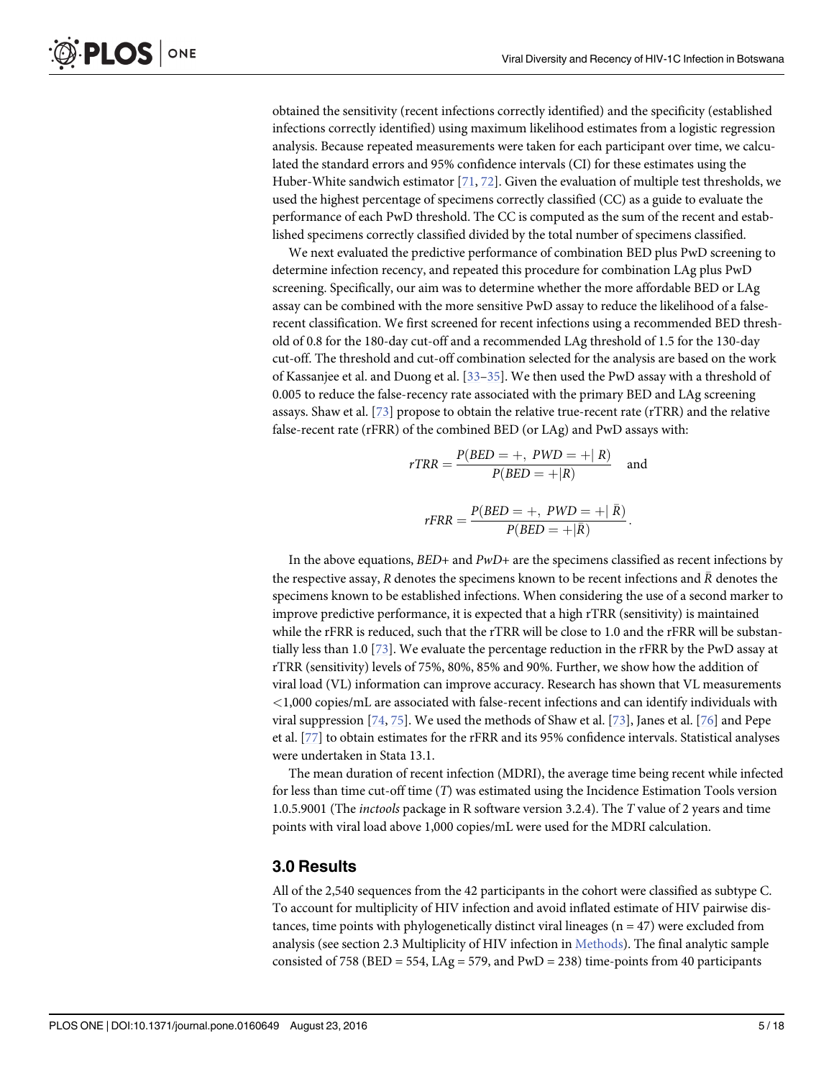obtained the sensitivity (recent infections correctly identified) and the specificity (established infections correctly identified) using maximum likelihood estimates from a logistic regression analysis. Because repeated measurements were taken for each participant over time, we calculated the standard errors and 95% confidence intervals (CI) for these estimates using the Huber-White sandwich estimator [\[71,](#page-16-0) [72\]](#page-16-0). Given the evaluation of multiple test thresholds, we used the highest percentage of specimens correctly classified (CC) as a guide to evaluate the performance of each PwD threshold. The CC is computed as the sum of the recent and established specimens correctly classified divided by the total number of specimens classified.

We next evaluated the predictive performance of combination BED plus PwD screening to determine infection recency, and repeated this procedure for combination LAg plus PwD screening. Specifically, our aim was to determine whether the more affordable BED or LAg assay can be combined with the more sensitive PwD assay to reduce the likelihood of a falserecent classification. We first screened for recent infections using a recommended BED threshold of 0.8 for the 180-day cut-off and a recommended LAg threshold of 1.5 for the 130-day cut-off. The threshold and cut-off combination selected for the analysis are based on the work of Kassanjee et al. and Duong et al. [\[33](#page-14-0)–[35](#page-15-0)]. We then used the PwD assay with a threshold of 0.005 to reduce the false-recency rate associated with the primary BED and LAg screening assays. Shaw et al. [\[73\]](#page-17-0) propose to obtain the relative true-recent rate (rTRR) and the relative false-recent rate (rFRR) of the combined BED (or LAg) and PwD assays with:

$$
rTRR = \frac{P(BED = +, PWD = + | R)}{P(BED = + | R)} \quad \text{and}
$$

$$
rFRR = \frac{P(BED=+, \, PWD=+|\,\bar{R})}{P(BED=+|\bar{R})}.
$$

In the above equations,  $BED+$  and  $PwD+$  are the specimens classified as recent infections by the respective assay, R denotes the specimens known to be recent infections and  $\overline{R}$  denotes the specimens known to be established infections. When considering the use of a second marker to improve predictive performance, it is expected that a high rTRR (sensitivity) is maintained while the rFRR is reduced, such that the rTRR will be close to 1.0 and the rFRR will be substantially less than 1.0 [[73](#page-17-0)]. We evaluate the percentage reduction in the rFRR by the PwD assay at rTRR (sensitivity) levels of 75%, 80%, 85% and 90%. Further, we show how the addition of viral load (VL) information can improve accuracy. Research has shown that VL measurements <1,000 copies/mL are associated with false-recent infections and can identify individuals with viral suppression  $[74, 75]$  $[74, 75]$  $[74, 75]$ . We used the methods of Shaw et al.  $[73]$  $[73]$ , Janes et al.  $[76]$  $[76]$  $[76]$  and Pepe et al. [\[77\]](#page-17-0) to obtain estimates for the rFRR and its 95% confidence intervals. Statistical analyses were undertaken in Stata 13.1.

The mean duration of recent infection (MDRI), the average time being recent while infected for less than time cut-off time (T) was estimated using the Incidence Estimation Tools version 1.0.5.9001 (The inctools package in R software version 3.2.4). The T value of 2 years and time points with viral load above 1,000 copies/mL were used for the MDRI calculation.

#### 3.0 Results

All of the 2,540 sequences from the 42 participants in the cohort were classified as subtype C. To account for multiplicity of HIV infection and avoid inflated estimate of HIV pairwise distances, time points with phylogenetically distinct viral lineages ( $n = 47$ ) were excluded from analysis (see section 2.3 Multiplicity of HIV infection in Methods). The final analytic sample consisted of 758 (BED = 554, LAg = 579, and PwD = 238) time-points from 40 participants

<span id="page-4-0"></span>**PLOS I** 

ONE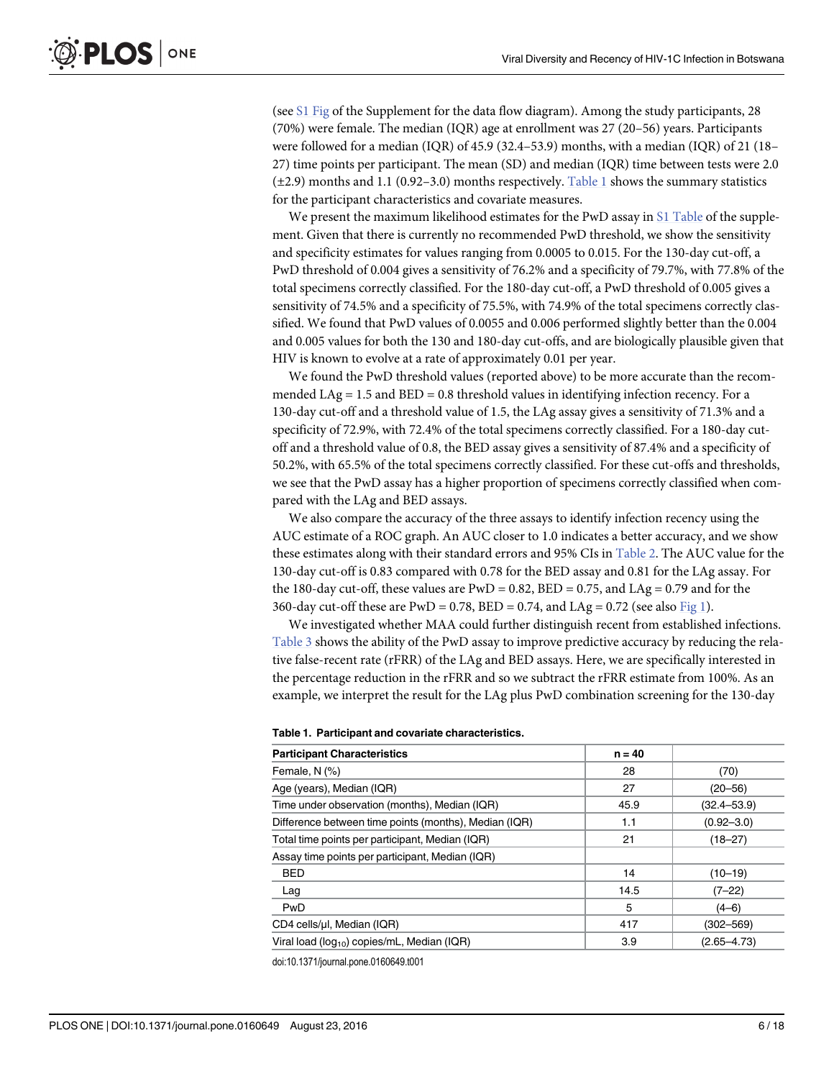<span id="page-5-0"></span>(see [S1 Fig](#page-11-0) of the Supplement for the data flow diagram). Among the study participants, 28 (70%) were female. The median (IQR) age at enrollment was 27 (20–56) years. Participants were followed for a median (IQR) of 45.9 (32.4–53.9) months, with a median (IQR) of 21 (18– 27) time points per participant. The mean (SD) and median (IQR) time between tests were 2.0  $(\pm 2.9)$  months and 1.1 (0.92–3.0) months respectively. Table 1 shows the summary statistics for the participant characteristics and covariate measures.

We present the maximum likelihood estimates for the PwD assay in [S1 Table](#page-12-0) of the supplement. Given that there is currently no recommended PwD threshold, we show the sensitivity and specificity estimates for values ranging from 0.0005 to 0.015. For the 130-day cut-off, a PwD threshold of 0.004 gives a sensitivity of 76.2% and a specificity of 79.7%, with 77.8% of the total specimens correctly classified. For the 180-day cut-off, a PwD threshold of 0.005 gives a sensitivity of 74.5% and a specificity of 75.5%, with 74.9% of the total specimens correctly classified. We found that PwD values of 0.0055 and 0.006 performed slightly better than the 0.004 and 0.005 values for both the 130 and 180-day cut-offs, and are biologically plausible given that HIV is known to evolve at a rate of approximately 0.01 per year.

We found the PwD threshold values (reported above) to be more accurate than the recommended  $LAg = 1.5$  and  $BED = 0.8$  threshold values in identifying infection recency. For a 130-day cut-off and a threshold value of 1.5, the LAg assay gives a sensitivity of 71.3% and a specificity of 72.9%, with 72.4% of the total specimens correctly classified. For a 180-day cutoff and a threshold value of 0.8, the BED assay gives a sensitivity of 87.4% and a specificity of 50.2%, with 65.5% of the total specimens correctly classified. For these cut-offs and thresholds, we see that the PwD assay has a higher proportion of specimens correctly classified when compared with the LAg and BED assays.

We also compare the accuracy of the three assays to identify infection recency using the AUC estimate of a ROC graph. An AUC closer to 1.0 indicates a better accuracy, and we show these estimates along with their standard errors and 95% CIs in [Table 2](#page-6-0). The AUC value for the 130-day cut-off is 0.83 compared with 0.78 for the BED assay and 0.81 for the LAg assay. For the 180-day cut-off, these values are  $PWD = 0.82$ ,  $BED = 0.75$ , and  $LAg = 0.79$  and for the 360-day cut-off these are  $PWD = 0.78$ ,  $BED = 0.74$ , and  $LAG = 0.72$  (see also [Fig 1\)](#page-7-0).

We investigated whether MAA could further distinguish recent from established infections. [Table 3](#page-8-0) shows the ability of the PwD assay to improve predictive accuracy by reducing the relative false-recent rate (rFRR) of the LAg and BED assays. Here, we are specifically interested in the percentage reduction in the rFRR and so we subtract the rFRR estimate from 100%. As an example, we interpret the result for the LAg plus PwD combination screening for the 130-day

| <b>Participant Characteristics</b>                      | $n = 40$ |                 |
|---------------------------------------------------------|----------|-----------------|
| Female, N (%)                                           | 28       | (70)            |
| Age (years), Median (IQR)                               | 27       | $(20 - 56)$     |
| Time under observation (months), Median (IQR)           | 45.9     | $(32.4 - 53.9)$ |
| Difference between time points (months), Median (IQR)   | 1.1      | $(0.92 - 3.0)$  |
| Total time points per participant, Median (IQR)         | 21       | $(18 - 27)$     |
| Assay time points per participant, Median (IQR)         |          |                 |
| <b>BED</b>                                              | 14       | $(10 - 19)$     |
| Lag                                                     | 14.5     | $(7-22)$        |
| PwD                                                     | 5        | $(4-6)$         |
| CD4 cells/µl, Median (IQR)                              | 417      | $(302 - 569)$   |
| Viral load (log <sub>10</sub> ) copies/mL, Median (IQR) | 3.9      | $(2.65 - 4.73)$ |

doi:10.1371/journal.pone.0160649.t001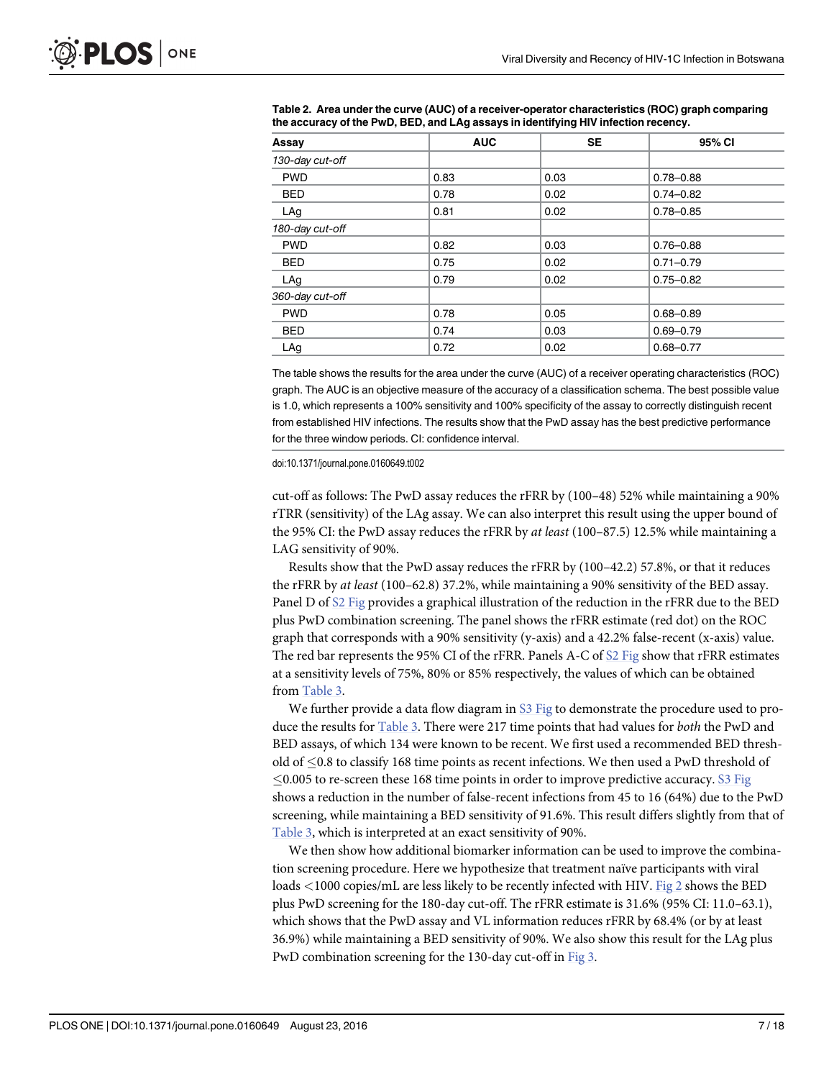| Assay           | <b>AUC</b> | <b>SE</b> | 95% CI        |
|-----------------|------------|-----------|---------------|
| 130-day cut-off |            |           |               |
| <b>PWD</b>      | 0.83       | 0.03      | $0.78 - 0.88$ |
| <b>BED</b>      | 0.78       | 0.02      | $0.74 - 0.82$ |
| LAg             | 0.81       | 0.02      | $0.78 - 0.85$ |
| 180-day cut-off |            |           |               |
| <b>PWD</b>      | 0.82       | 0.03      | $0.76 - 0.88$ |
| <b>BED</b>      | 0.75       | 0.02      | $0.71 - 0.79$ |
| LAg             | 0.79       | 0.02      | $0.75 - 0.82$ |
| 360-day cut-off |            |           |               |
| <b>PWD</b>      | 0.78       | 0.05      | $0.68 - 0.89$ |
| <b>BED</b>      | 0.74       | 0.03      | $0.69 - 0.79$ |
| LAg             | 0.72       | 0.02      | $0.68 - 0.77$ |

<span id="page-6-0"></span>[Table 2.](#page-5-0) Area under the curve (AUC) of a receiver-operator characteristics (ROC) graph comparing the accuracy of the PwD, BED, and LAg assays in identifying HIV infection recency.

The table shows the results for the area under the curve (AUC) of a receiver operating characteristics (ROC) graph. The AUC is an objective measure of the accuracy of a classification schema. The best possible value is 1.0, which represents a 100% sensitivity and 100% specificity of the assay to correctly distinguish recent from established HIV infections. The results show that the PwD assay has the best predictive performance for the three window periods. CI: confidence interval.

doi:10.1371/journal.pone.0160649.t002

cut-off as follows: The PwD assay reduces the rFRR by (100–48) 52% while maintaining a 90% rTRR (sensitivity) of the LAg assay. We can also interpret this result using the upper bound of the 95% CI: the PwD assay reduces the rFRR by at least (100-87.5) 12.5% while maintaining a LAG sensitivity of 90%.

Results show that the PwD assay reduces the rFRR by (100–42.2) 57.8%, or that it reduces the rFRR by at least (100–62.8) 37.2%, while maintaining a 90% sensitivity of the BED assay. Panel D of [S2 Fig](#page-11-0) provides a graphical illustration of the reduction in the rFRR due to the BED plus PwD combination screening. The panel shows the rFRR estimate (red dot) on the ROC graph that corresponds with a 90% sensitivity (y-axis) and a 42.2% false-recent (x-axis) value. The red bar represents the 95% CI of the rFRR. Panels A-C of [S2 Fig](#page-11-0) show that rFRR estimates at a sensitivity levels of 75%, 80% or 85% respectively, the values of which can be obtained from [Table 3](#page-8-0).

We further provide a data flow diagram in  $S3$  Fig to demonstrate the procedure used to produce the results for [Table 3.](#page-8-0) There were 217 time points that had values for both the PwD and BED assays, of which 134 were known to be recent. We first used a recommended BED threshold of 0.8 to classify 168 time points as recent infections. We then used a PwD threshold of  $\leq$ 0.005 to re-screen these 168 time points in order to improve predictive accuracy. [S3 Fig](#page-11-0) shows a reduction in the number of false-recent infections from 45 to 16 (64%) due to the PwD screening, while maintaining a BED sensitivity of 91.6%. This result differs slightly from that of [Table 3](#page-8-0), which is interpreted at an exact sensitivity of 90%.

We then show how additional biomarker information can be used to improve the combination screening procedure. Here we hypothesize that treatment naïve participants with viral loads <1000 copies/mL are less likely to be recently infected with HIV. [Fig 2](#page-9-0) shows the BED plus PwD screening for the 180-day cut-off. The rFRR estimate is 31.6% (95% CI: 11.0–63.1), which shows that the PwD assay and VL information reduces rFRR by 68.4% (or by at least 36.9%) while maintaining a BED sensitivity of 90%. We also show this result for the LAg plus PwD combination screening for the 130-day cut-off in [Fig 3](#page-10-0).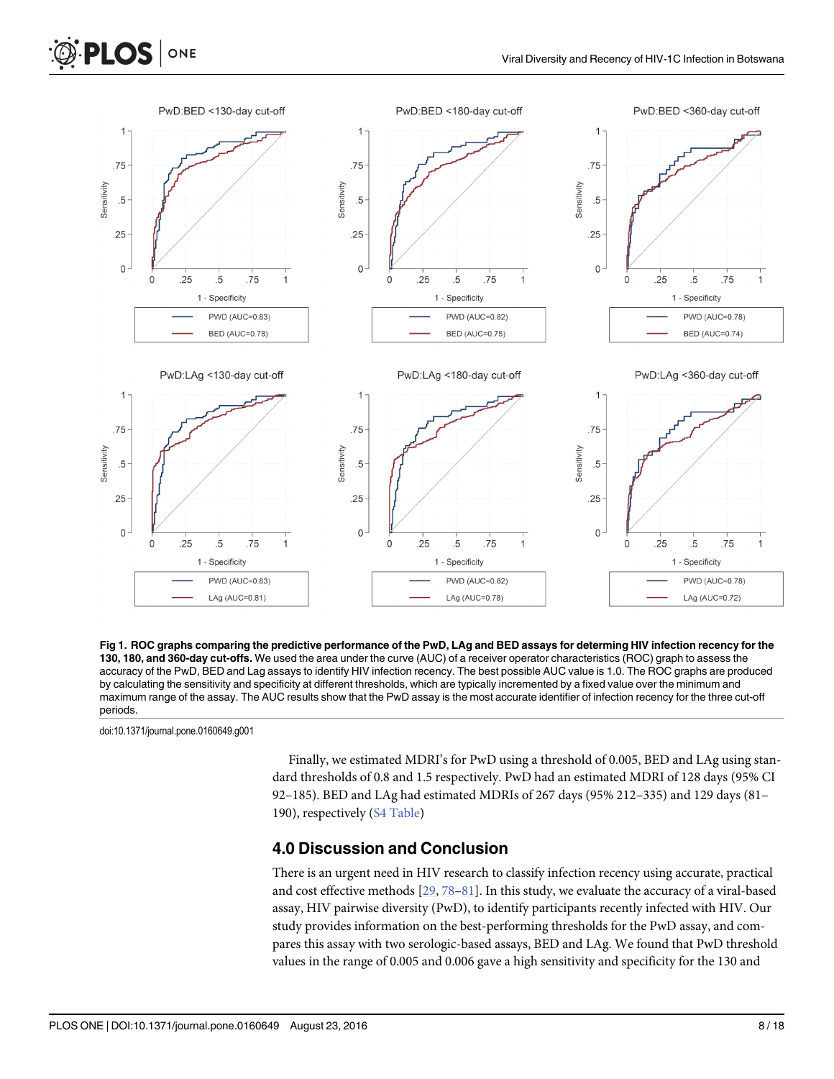<span id="page-7-0"></span>



doi:10.1371/journal.pone.0160649.g001

**PLOS** 

ONE

Finally, we estimated MDRI's for PwD using a threshold of 0.005, BED and LAg using standard thresholds of 0.8 and 1.5 respectively. PwD had an estimated MDRI of 128 days (95% CI 92–185). BED and LAg had estimated MDRIs of 267 days (95% 212–335) and 129 days (81– 190), respectively [\(S4 Table](#page-12-0))

#### 4.0 Discussion and Conclusion

There is an urgent need in HIV research to classify infection recency using accurate, practical and cost effective methods [\[29,](#page-14-0) [78](#page-17-0)–[81\]](#page-17-0). In this study, we evaluate the accuracy of a viral-based assay, HIV pairwise diversity (PwD), to identify participants recently infected with HIV. Our study provides information on the best-performing thresholds for the PwD assay, and compares this assay with two serologic-based assays, BED and LAg. We found that PwD threshold values in the range of 0.005 and 0.006 gave a high sensitivity and specificity for the 130 and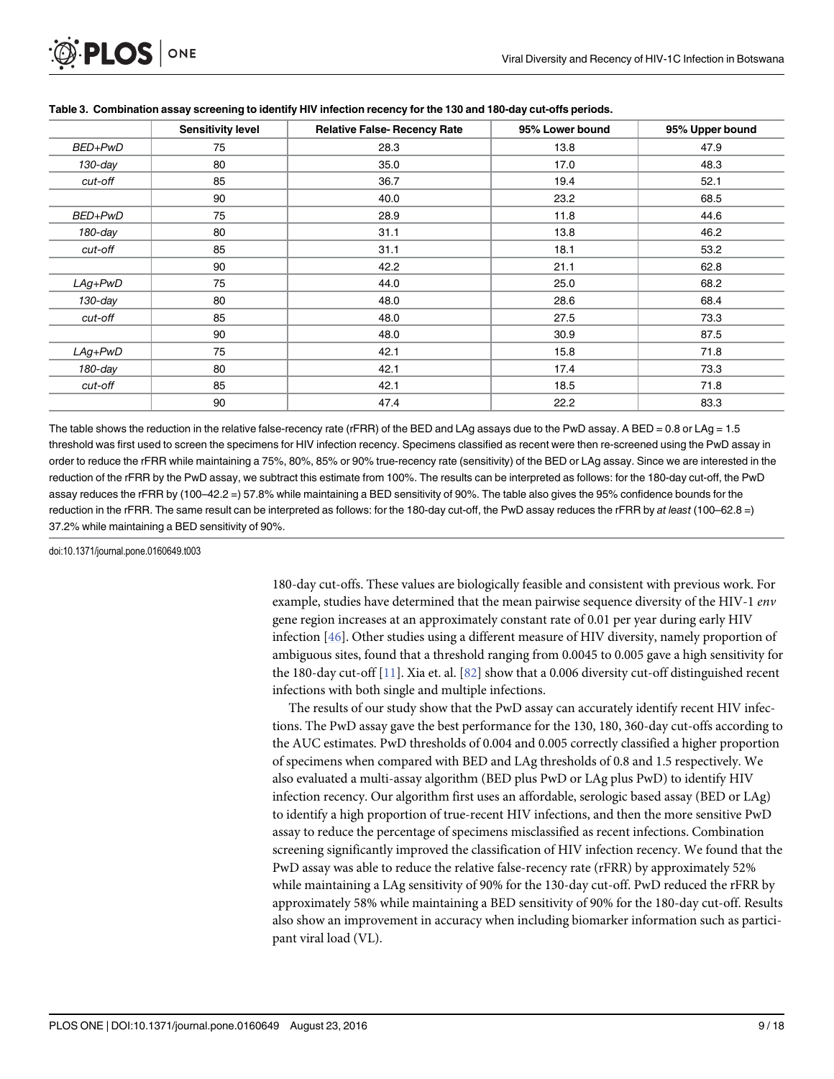<span id="page-8-0"></span>

|            | <b>Sensitivity level</b> | <b>Relative False- Recency Rate</b> | 95% Lower bound | 95% Upper bound |
|------------|--------------------------|-------------------------------------|-----------------|-----------------|
| BED+PwD    | 75                       | 28.3                                | 13.8            | 47.9            |
| $130$ -day | 80                       | 35.0                                | 17.0            | 48.3            |
| cut-off    | 85                       | 36.7                                | 19.4            | 52.1            |
|            | 90                       | 40.0                                | 23.2            | 68.5            |
| BED+PwD    | 75                       | 28.9                                | 11.8            | 44.6            |
| 180-day    | 80                       | 31.1                                | 13.8            | 46.2            |
| cut-off    | 85                       | 31.1                                | 18.1            | 53.2            |
|            | 90                       | 42.2                                | 21.1            | 62.8            |
| $LAg+PwD$  | 75                       | 44.0                                | 25.0            | 68.2            |
| $130$ -day | 80                       | 48.0                                | 28.6            | 68.4            |
| cut-off    | 85                       | 48.0                                | 27.5            | 73.3            |
|            | 90                       | 48.0                                | 30.9            | 87.5            |
| $LAg+PwD$  | 75                       | 42.1                                | 15.8            | 71.8            |
| $180$ -day | 80                       | 42.1                                | 17.4            | 73.3            |
| cut-off    | 85                       | 42.1                                | 18.5            | 71.8            |
|            | 90                       | 47.4                                | 22.2            | 83.3            |

#### [Table 3.](#page-5-0) Combination assay screening to identify HIV infection recency for the 130 and 180-day cut-offs periods.

The table shows the reduction in the relative false-recency rate (rFRR) of the BED and LAg assays due to the PwD assay. A BED = 0.8 or LAg = 1.5 threshold was first used to screen the specimens for HIV infection recency. Specimens classified as recent were then re-screened using the PwD assay in order to reduce the rFRR while maintaining a 75%, 80%, 85% or 90% true-recency rate (sensitivity) of the BED or LAg assay. Since we are interested in the reduction of the rFRR by the PwD assay, we subtract this estimate from 100%. The results can be interpreted as follows: for the 180-day cut-off, the PwD assay reduces the rFRR by (100–42.2 =) 57.8% while maintaining a BED sensitivity of 90%. The table also gives the 95% confidence bounds for the reduction in the rFRR. The same result can be interpreted as follows: for the 180-day cut-off, the PwD assay reduces the rFRR by at least (100–62.8 =) 37.2% while maintaining a BED sensitivity of 90%.

doi:10.1371/journal.pone.0160649.t003

180-day cut-offs. These values are biologically feasible and consistent with previous work. For example, studies have determined that the mean pairwise sequence diversity of the HIV-1 env gene region increases at an approximately constant rate of 0.01 per year during early HIV infection [[46\]](#page-15-0). Other studies using a different measure of HIV diversity, namely proportion of ambiguous sites, found that a threshold ranging from 0.0045 to 0.005 gave a high sensitivity for the 180-day cut-off [\[11](#page-13-0)]. Xia et. al. [[82](#page-17-0)] show that a 0.006 diversity cut-off distinguished recent infections with both single and multiple infections.

The results of our study show that the PwD assay can accurately identify recent HIV infections. The PwD assay gave the best performance for the 130, 180, 360-day cut-offs according to the AUC estimates. PwD thresholds of 0.004 and 0.005 correctly classified a higher proportion of specimens when compared with BED and LAg thresholds of 0.8 and 1.5 respectively. We also evaluated a multi-assay algorithm (BED plus PwD or LAg plus PwD) to identify HIV infection recency. Our algorithm first uses an affordable, serologic based assay (BED or LAg) to identify a high proportion of true-recent HIV infections, and then the more sensitive PwD assay to reduce the percentage of specimens misclassified as recent infections. Combination screening significantly improved the classification of HIV infection recency. We found that the PwD assay was able to reduce the relative false-recency rate (rFRR) by approximately 52% while maintaining a LAg sensitivity of 90% for the 130-day cut-off. PwD reduced the rFRR by approximately 58% while maintaining a BED sensitivity of 90% for the 180-day cut-off. Results also show an improvement in accuracy when including biomarker information such as participant viral load (VL).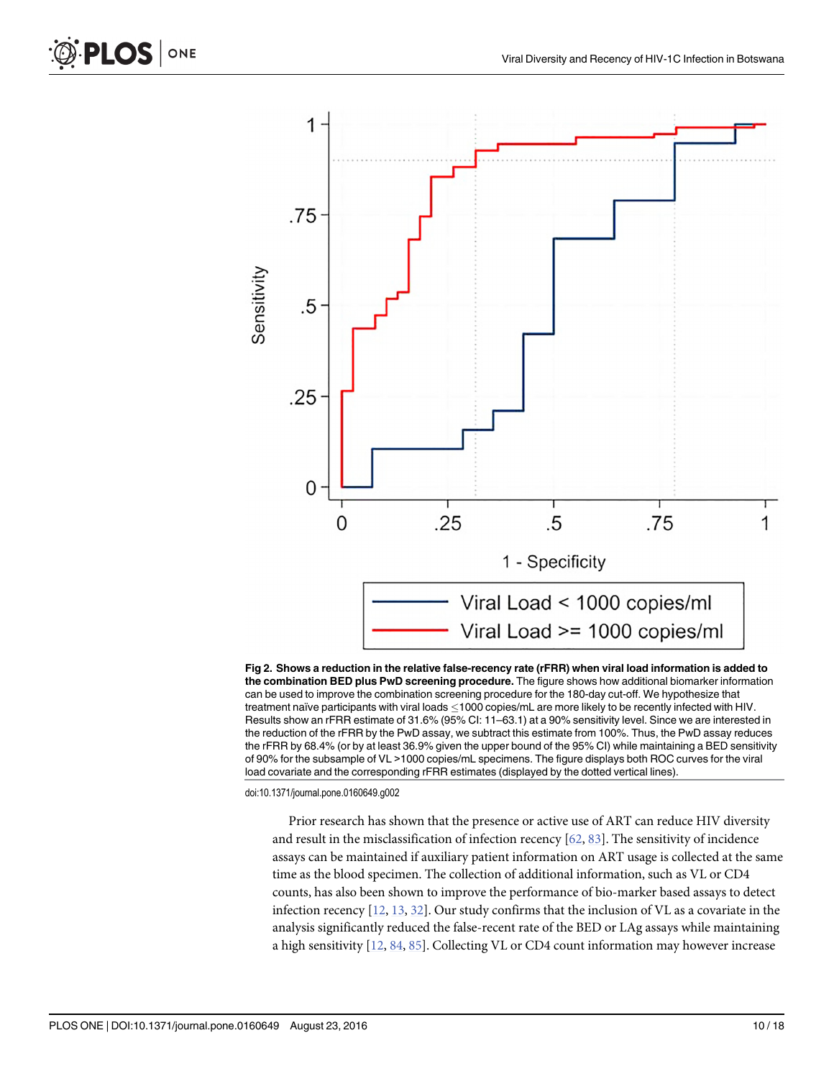

[Fig 2. S](#page-6-0)hows a reduction in the relative false-recency rate (rFRR) when viral load information is added to the combination BED plus PwD screening procedure. The figure shows how additional biomarker information can be used to improve the combination screening procedure for the 180-day cut-off. We hypothesize that treatment naïve participants with viral loads  $\leq$ 1000 copies/mL are more likely to be recently infected with HIV. Results show an rFRR estimate of 31.6% (95% CI: 11–63.1) at a 90% sensitivity level. Since we are interested in the reduction of the rFRR by the PwD assay, we subtract this estimate from 100%. Thus, the PwD assay reduces the rFRR by 68.4% (or by at least 36.9% given the upper bound of the 95% CI) while maintaining a BED sensitivity of 90% for the subsample of VL >1000 copies/mL specimens. The figure displays both ROC curves for the viral load covariate and the corresponding rFRR estimates (displayed by the dotted vertical lines).

doi:10.1371/journal.pone.0160649.g002

Prior research has shown that the presence or active use of ART can reduce HIV diversity and result in the misclassification of infection recency [[62](#page-16-0), [83](#page-17-0)]. The sensitivity of incidence assays can be maintained if auxiliary patient information on ART usage is collected at the same time as the blood specimen. The collection of additional information, such as VL or CD4 counts, has also been shown to improve the performance of bio-marker based assays to detect infection recency  $[12, 13, 32]$  $[12, 13, 32]$  $[12, 13, 32]$  $[12, 13, 32]$  $[12, 13, 32]$  $[12, 13, 32]$  $[12, 13, 32]$ . Our study confirms that the inclusion of VL as a covariate in the analysis significantly reduced the false-recent rate of the BED or LAg assays while maintaining a high sensitivity [\[12,](#page-13-0) [84,](#page-17-0) [85\]](#page-17-0). Collecting VL or CD4 count information may however increase

ONE

<span id="page-9-0"></span>**PLOS I**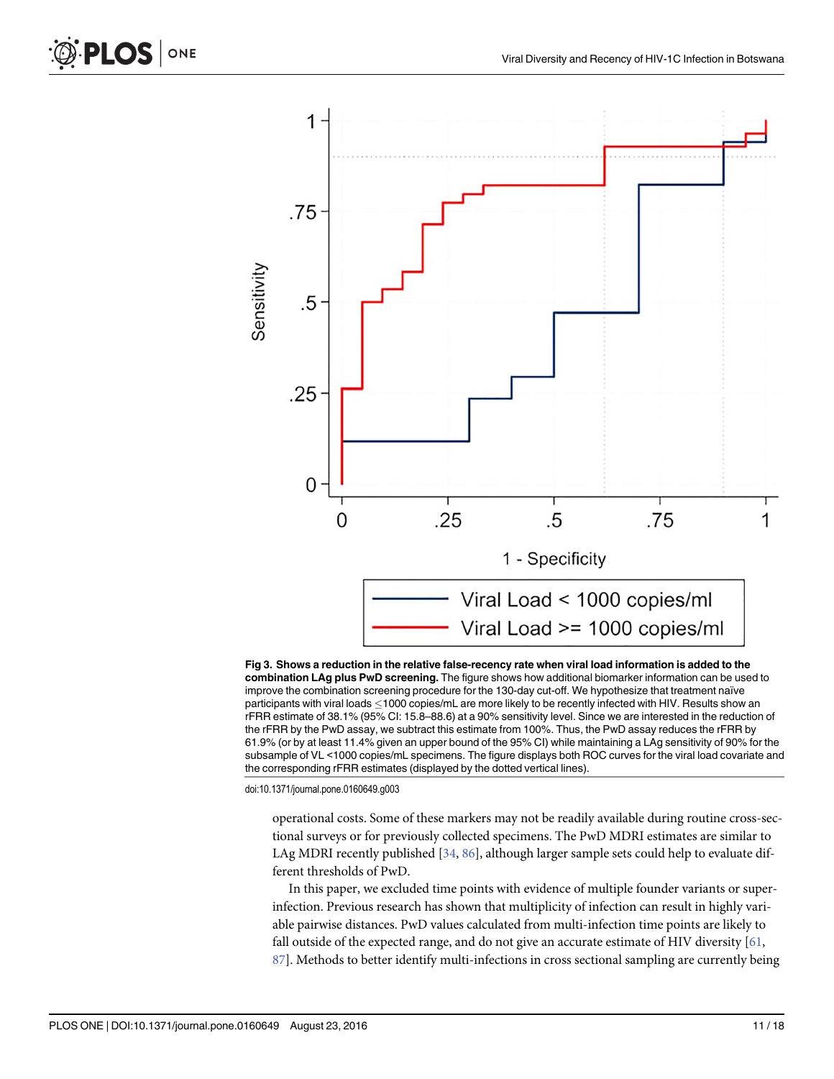

[Fig 3. S](#page-6-0)hows a reduction in the relative false-recency rate when viral load information is added to the combination LAg plus PwD screening. The figure shows how additional biomarker information can be used to improve the combination screening procedure for the 130-day cut-off. We hypothesize that treatment naïve participants with viral loads  $\leq$ 1000 copies/mL are more likely to be recently infected with HIV. Results show an rFRR estimate of 38.1% (95% CI: 15.8–88.6) at a 90% sensitivity level. Since we are interested in the reduction of the rFRR by the PwD assay, we subtract this estimate from 100%. Thus, the PwD assay reduces the rFRR by 61.9% (or by at least 11.4% given an upper bound of the 95% CI) while maintaining a LAg sensitivity of 90% for the subsample of VL <1000 copies/mL specimens. The figure displays both ROC curves for the viral load covariate and the corresponding rFRR estimates (displayed by the dotted vertical lines).

doi:10.1371/journal.pone.0160649.g003

operational costs. Some of these markers may not be readily available during routine cross-sectional surveys or for previously collected specimens. The PwD MDRI estimates are similar to LAg MDRI recently published [\[34,](#page-15-0) [86\]](#page-17-0), although larger sample sets could help to evaluate different thresholds of PwD.

In this paper, we excluded time points with evidence of multiple founder variants or superinfection. Previous research has shown that multiplicity of infection can result in highly variable pairwise distances. PwD values calculated from multi-infection time points are likely to fall outside of the expected range, and do not give an accurate estimate of HIV diversity  $[61, 61]$  $[61, 61]$ [87\]](#page-17-0). Methods to better identify multi-infections in cross sectional sampling are currently being

<span id="page-10-0"></span>PLOS |

ONE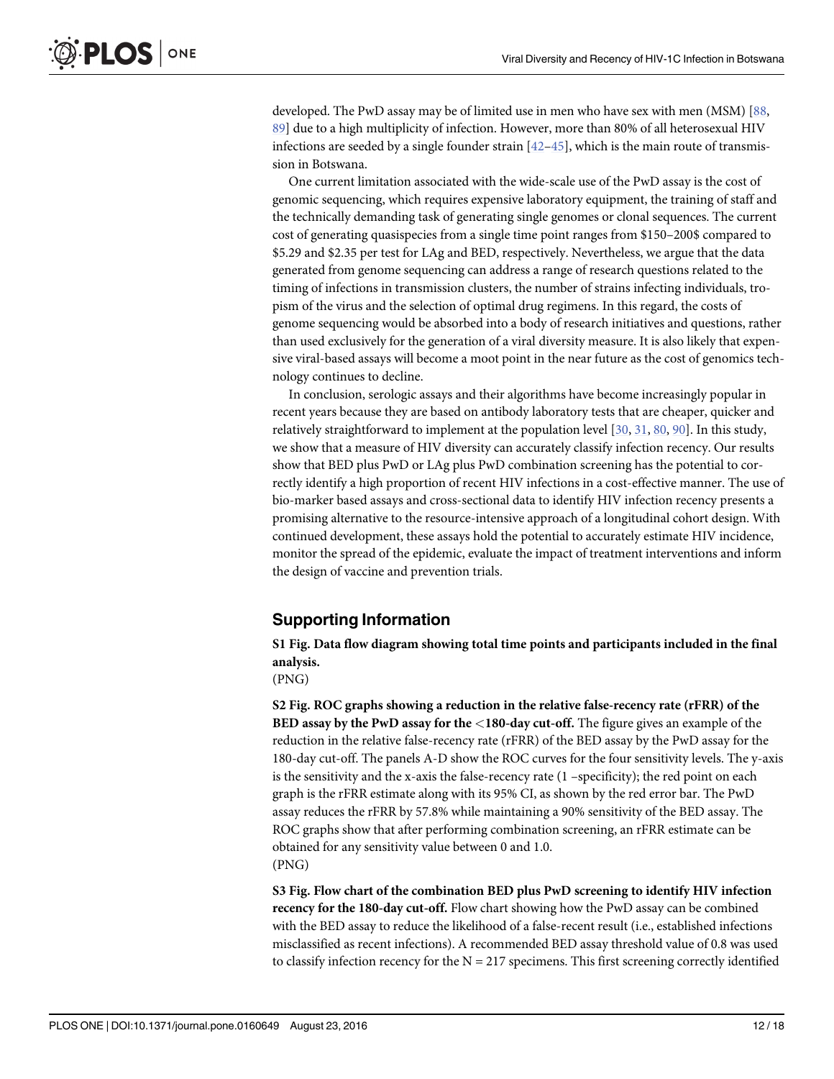<span id="page-11-0"></span>developed. The PwD assay may be of limited use in men who have sex with men (MSM) [\[88,](#page-17-0) [89\]](#page-17-0) due to a high multiplicity of infection. However, more than 80% of all heterosexual HIV infections are seeded by a single founder strain  $[42-45]$  $[42-45]$  $[42-45]$  $[42-45]$ , which is the main route of transmission in Botswana.

One current limitation associated with the wide-scale use of the PwD assay is the cost of genomic sequencing, which requires expensive laboratory equipment, the training of staff and the technically demanding task of generating single genomes or clonal sequences. The current cost of generating quasispecies from a single time point ranges from \$150–200\$ compared to \$5.29 and \$2.35 per test for LAg and BED, respectively. Nevertheless, we argue that the data generated from genome sequencing can address a range of research questions related to the timing of infections in transmission clusters, the number of strains infecting individuals, tropism of the virus and the selection of optimal drug regimens. In this regard, the costs of genome sequencing would be absorbed into a body of research initiatives and questions, rather than used exclusively for the generation of a viral diversity measure. It is also likely that expensive viral-based assays will become a moot point in the near future as the cost of genomics technology continues to decline.

In conclusion, serologic assays and their algorithms have become increasingly popular in recent years because they are based on antibody laboratory tests that are cheaper, quicker and relatively straightforward to implement at the population level [[30](#page-14-0), [31](#page-14-0), [80](#page-17-0), [90](#page-17-0)]. In this study, we show that a measure of HIV diversity can accurately classify infection recency. Our results show that BED plus PwD or LAg plus PwD combination screening has the potential to correctly identify a high proportion of recent HIV infections in a cost-effective manner. The use of bio-marker based assays and cross-sectional data to identify HIV infection recency presents a promising alternative to the resource-intensive approach of a longitudinal cohort design. With continued development, these assays hold the potential to accurately estimate HIV incidence, monitor the spread of the epidemic, evaluate the impact of treatment interventions and inform the design of vaccine and prevention trials.

# Supporting Information

[S1 Fig.](http://www.plosone.org/article/fetchSingleRepresentation.action?uri=info:doi/10.1371/journal.pone.0160649.s001) Data flow diagram showing total time points and participants included in the final analysis.

(PNG)

[S2 Fig.](http://www.plosone.org/article/fetchSingleRepresentation.action?uri=info:doi/10.1371/journal.pone.0160649.s002) ROC graphs showing a reduction in the relative false-recency rate (rFRR) of the BED assay by the PwD assay for the <180-day cut-off. The figure gives an example of the reduction in the relative false-recency rate (rFRR) of the BED assay by the PwD assay for the 180-day cut-off. The panels A-D show the ROC curves for the four sensitivity levels. The y-axis is the sensitivity and the x-axis the false-recency rate  $(1 -$ specificity); the red point on each graph is the rFRR estimate along with its 95% CI, as shown by the red error bar. The PwD assay reduces the rFRR by 57.8% while maintaining a 90% sensitivity of the BED assay. The ROC graphs show that after performing combination screening, an rFRR estimate can be obtained for any sensitivity value between 0 and 1.0. (PNG)

[S3 Fig.](http://www.plosone.org/article/fetchSingleRepresentation.action?uri=info:doi/10.1371/journal.pone.0160649.s003) Flow chart of the combination BED plus PwD screening to identify HIV infection recency for the 180-day cut-off. Flow chart showing how the PwD assay can be combined with the BED assay to reduce the likelihood of a false-recent result (i.e., established infections misclassified as recent infections). A recommended BED assay threshold value of 0.8 was used to classify infection recency for the  $N = 217$  specimens. This first screening correctly identified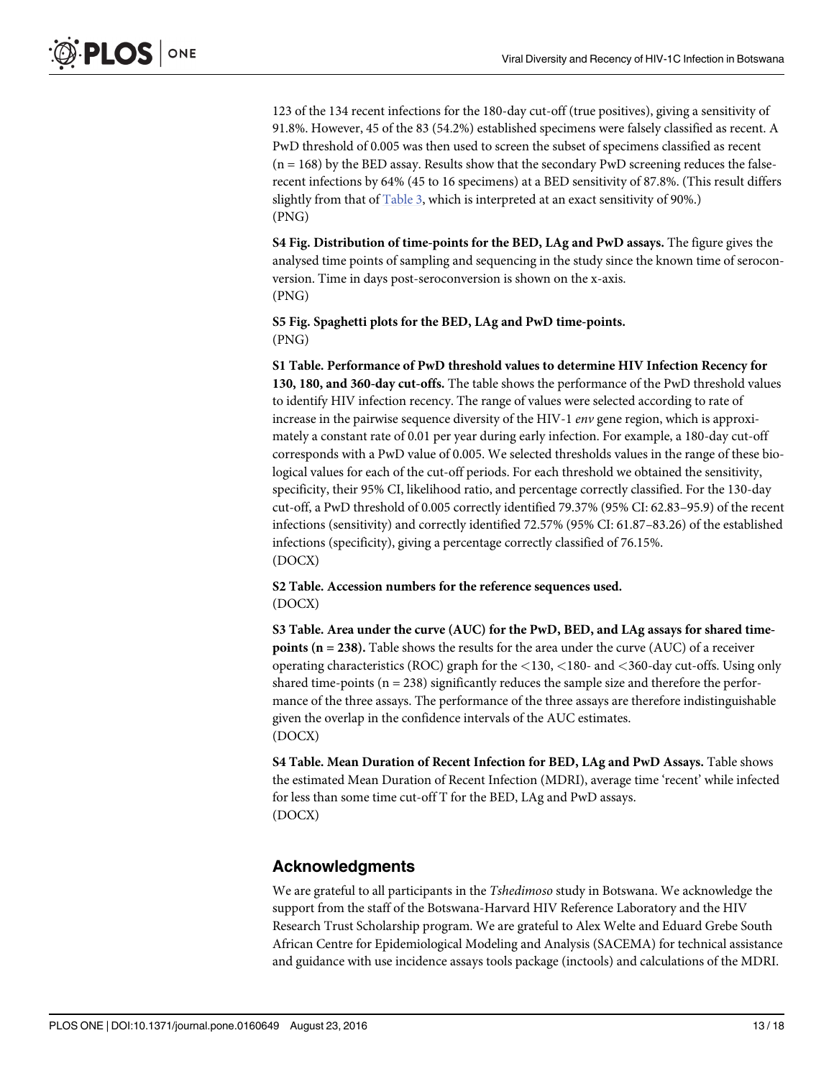<span id="page-12-0"></span>123 of the 134 recent infections for the 180-day cut-off (true positives), giving a sensitivity of 91.8%. However, 45 of the 83 (54.2%) established specimens were falsely classified as recent. A PwD threshold of 0.005 was then used to screen the subset of specimens classified as recent  $(n = 168)$  by the BED assay. Results show that the secondary PwD screening reduces the falserecent infections by 64% (45 to 16 specimens) at a BED sensitivity of 87.8%. (This result differs slightly from that of [Table 3](#page-8-0), which is interpreted at an exact sensitivity of 90%.) (PNG)

[S4 Fig.](http://www.plosone.org/article/fetchSingleRepresentation.action?uri=info:doi/10.1371/journal.pone.0160649.s004) Distribution of time-points for the BED, LAg and PwD assays. The figure gives the analysed time points of sampling and sequencing in the study since the known time of seroconversion. Time in days post-seroconversion is shown on the x-axis. (PNG)

[S5 Fig.](http://www.plosone.org/article/fetchSingleRepresentation.action?uri=info:doi/10.1371/journal.pone.0160649.s005) Spaghetti plots for the BED, LAg and PwD time-points. (PNG)

[S1 Table](http://www.plosone.org/article/fetchSingleRepresentation.action?uri=info:doi/10.1371/journal.pone.0160649.s006). Performance of PwD threshold values to determine HIV Infection Recency for 130, 180, and 360-day cut-offs. The table shows the performance of the PwD threshold values to identify HIV infection recency. The range of values were selected according to rate of increase in the pairwise sequence diversity of the HIV-1 env gene region, which is approximately a constant rate of 0.01 per year during early infection. For example, a 180-day cut-off corresponds with a PwD value of 0.005. We selected thresholds values in the range of these biological values for each of the cut-off periods. For each threshold we obtained the sensitivity, specificity, their 95% CI, likelihood ratio, and percentage correctly classified. For the 130-day cut-off, a PwD threshold of 0.005 correctly identified 79.37% (95% CI: 62.83–95.9) of the recent infections (sensitivity) and correctly identified 72.57% (95% CI: 61.87–83.26) of the established infections (specificity), giving a percentage correctly classified of 76.15%. (DOCX)

[S2 Table](http://www.plosone.org/article/fetchSingleRepresentation.action?uri=info:doi/10.1371/journal.pone.0160649.s007). Accession numbers for the reference sequences used. (DOCX)

[S3 Table](http://www.plosone.org/article/fetchSingleRepresentation.action?uri=info:doi/10.1371/journal.pone.0160649.s008). Area under the curve (AUC) for the PwD, BED, and LAg assays for shared timepoints (n = 238). Table shows the results for the area under the curve (AUC) of a receiver operating characteristics (ROC) graph for the <130, <180- and <360-day cut-offs. Using only shared time-points  $(n = 238)$  significantly reduces the sample size and therefore the performance of the three assays. The performance of the three assays are therefore indistinguishable given the overlap in the confidence intervals of the AUC estimates. (DOCX)

[S4 Table](http://www.plosone.org/article/fetchSingleRepresentation.action?uri=info:doi/10.1371/journal.pone.0160649.s009). Mean Duration of Recent Infection for BED, LAg and PwD Assays. Table shows the estimated Mean Duration of Recent Infection (MDRI), average time 'recent' while infected for less than some time cut-off T for the BED, LAg and PwD assays. (DOCX)

## Acknowledgments

We are grateful to all participants in the Tshedimoso study in Botswana. We acknowledge the support from the staff of the Botswana-Harvard HIV Reference Laboratory and the HIV Research Trust Scholarship program. We are grateful to Alex Welte and Eduard Grebe South African Centre for Epidemiological Modeling and Analysis (SACEMA) for technical assistance and guidance with use incidence assays tools package (inctools) and calculations of the MDRI.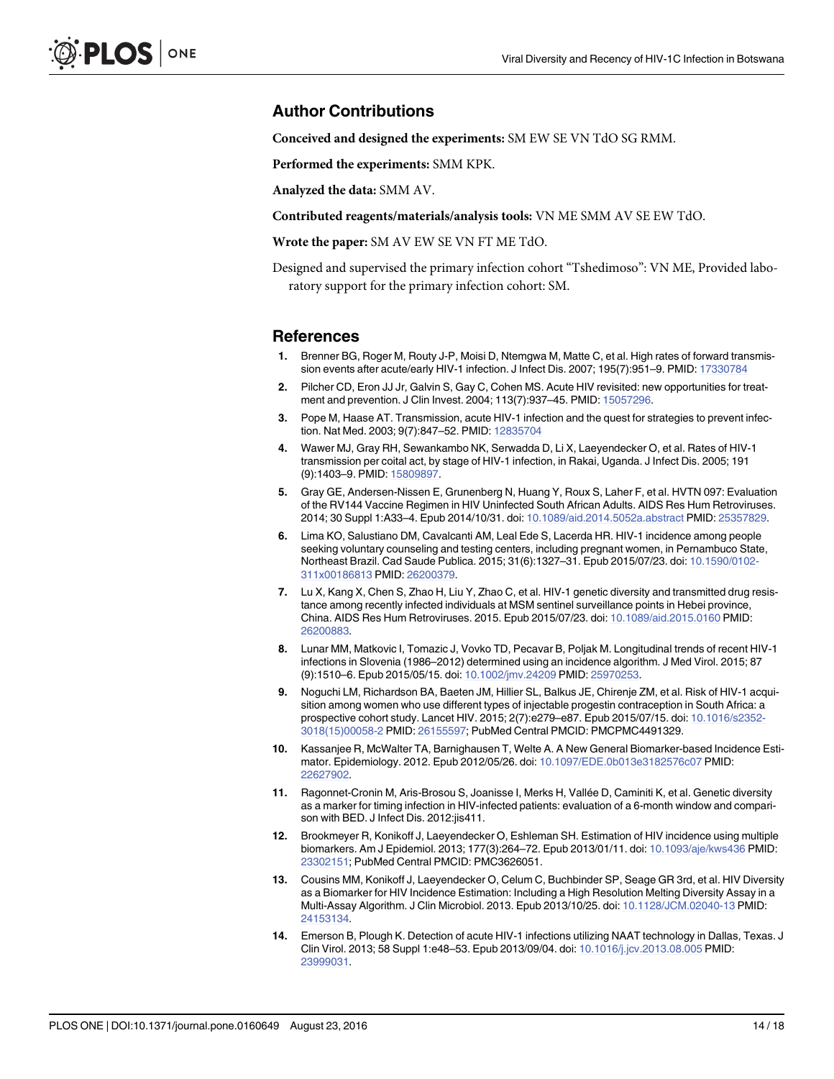#### <span id="page-13-0"></span>Author Contributions

Conceived and designed the experiments: SM EW SE VN TdO SG RMM.

Performed the experiments: SMM KPK.

Analyzed the data: SMM AV.

Contributed reagents/materials/analysis tools: VN ME SMM AV SE EW TdO.

Wrote the paper: SM AV EW SE VN FT ME TdO.

Designed and supervised the primary infection cohort "Tshedimoso": VN ME, Provided laboratory support for the primary infection cohort: SM.

#### **References**

- [1.](#page-1-0) Brenner BG, Roger M, Routy J-P, Moisi D, Ntemgwa M, Matte C, et al. High rates of forward transmission events after acute/early HIV-1 infection. J Infect Dis. 2007; 195(7):951–9. PMID: [17330784](http://www.ncbi.nlm.nih.gov/pubmed/17330784)
- 2. Pilcher CD, Eron JJ Jr, Galvin S, Gay C, Cohen MS. Acute HIV revisited: new opportunities for treatment and prevention. J Clin Invest. 2004; 113(7):937–45. PMID: [15057296.](http://www.ncbi.nlm.nih.gov/pubmed/15057296)
- 3. Pope M, Haase AT. Transmission, acute HIV-1 infection and the quest for strategies to prevent infection. Nat Med. 2003; 9(7):847–52. PMID: [12835704](http://www.ncbi.nlm.nih.gov/pubmed/12835704)
- 4. Wawer MJ, Gray RH, Sewankambo NK, Serwadda D, Li X, Laeyendecker O, et al. Rates of HIV-1 transmission per coital act, by stage of HIV-1 infection, in Rakai, Uganda. J Infect Dis. 2005; 191 (9):1403–9. PMID: [15809897.](http://www.ncbi.nlm.nih.gov/pubmed/15809897)
- 5. Gray GE, Andersen-Nissen E, Grunenberg N, Huang Y, Roux S, Laher F, et al. HVTN 097: Evaluation of the RV144 Vaccine Regimen in HIV Uninfected South African Adults. AIDS Res Hum Retroviruses. 2014; 30 Suppl 1:A33–4. Epub 2014/10/31. doi: [10.1089/aid.2014.5052a.abstract](http://dx.doi.org/10.1089/aid.2014.5052a.abstract) PMID: [25357829.](http://www.ncbi.nlm.nih.gov/pubmed/25357829)
- 6. Lima KO, Salustiano DM, Cavalcanti AM, Leal Ede S, Lacerda HR. HIV-1 incidence among people seeking voluntary counseling and testing centers, including pregnant women, in Pernambuco State, Northeast Brazil. Cad Saude Publica. 2015; 31(6):1327–31. Epub 2015/07/23. doi: [10.1590/0102-](http://dx.doi.org/10.1590/0102-311x00186813) [311x00186813](http://dx.doi.org/10.1590/0102-311x00186813) PMID: [26200379](http://www.ncbi.nlm.nih.gov/pubmed/26200379).
- 7. Lu X, Kang X, Chen S, Zhao H, Liu Y, Zhao C, et al. HIV-1 genetic diversity and transmitted drug resistance among recently infected individuals at MSM sentinel surveillance points in Hebei province, China. AIDS Res Hum Retroviruses. 2015. Epub 2015/07/23. doi: [10.1089/aid.2015.0160](http://dx.doi.org/10.1089/aid.2015.0160) PMID: [26200883](http://www.ncbi.nlm.nih.gov/pubmed/26200883).
- 8. Lunar MM, Matkovic I, Tomazic J, Vovko TD, Pecavar B, Poljak M. Longitudinal trends of recent HIV-1 infections in Slovenia (1986–2012) determined using an incidence algorithm. J Med Virol. 2015; 87 (9):1510–6. Epub 2015/05/15. doi: [10.1002/jmv.24209](http://dx.doi.org/10.1002/jmv.24209) PMID: [25970253](http://www.ncbi.nlm.nih.gov/pubmed/25970253).
- [9.](#page-1-0) Noguchi LM, Richardson BA, Baeten JM, Hillier SL, Balkus JE, Chirenje ZM, et al. Risk of HIV-1 acquisition among women who use different types of injectable progestin contraception in South Africa: a prospective cohort study. Lancet HIV. 2015; 2(7):e279-e87. Epub 2015/07/15. doi: [10.1016/s2352-](http://dx.doi.org/10.1016/s2352-3018(15)00058-2) [3018\(15\)00058-2](http://dx.doi.org/10.1016/s2352-3018(15)00058-2) PMID: [26155597](http://www.ncbi.nlm.nih.gov/pubmed/26155597); PubMed Central PMCID: PMCPMC4491329.
- [10.](#page-1-0) Kassanjee R, McWalter TA, Barnighausen T, Welte A. A New General Biomarker-based Incidence Estimator. Epidemiology. 2012. Epub 2012/05/26. doi: [10.1097/EDE.0b013e3182576c07](http://dx.doi.org/10.1097/EDE.0b013e3182576c07) PMID: [22627902](http://www.ncbi.nlm.nih.gov/pubmed/22627902).
- [11.](#page-1-0) Ragonnet-Cronin M, Aris-Brosou S, Joanisse I, Merks H, Vallée D, Caminiti K, et al. Genetic diversity as a marker for timing infection in HIV-infected patients: evaluation of a 6-month window and comparison with BED. J Infect Dis. 2012:jis411.
- [12.](#page-9-0) Brookmeyer R, Konikoff J, Laeyendecker O, Eshleman SH. Estimation of HIV incidence using multiple biomarkers. Am J Epidemiol. 2013; 177(3):264–72. Epub 2013/01/11. doi: [10.1093/aje/kws436](http://dx.doi.org/10.1093/aje/kws436) PMID: [23302151](http://www.ncbi.nlm.nih.gov/pubmed/23302151); PubMed Central PMCID: PMC3626051.
- [13.](#page-1-0) Cousins MM, Konikoff J, Laeyendecker O, Celum C, Buchbinder SP, Seage GR 3rd, et al. HIV Diversity as a Biomarker for HIV Incidence Estimation: Including a High Resolution Melting Diversity Assay in a Multi-Assay Algorithm. J Clin Microbiol. 2013. Epub 2013/10/25. doi: [10.1128/JCM.02040-13](http://dx.doi.org/10.1128/JCM.02040-13) PMID: [24153134](http://www.ncbi.nlm.nih.gov/pubmed/24153134).
- [14.](#page-1-0) Emerson B, Plough K. Detection of acute HIV-1 infections utilizing NAAT technology in Dallas, Texas. J Clin Virol. 2013; 58 Suppl 1:e48–53. Epub 2013/09/04. doi: [10.1016/j.jcv.2013.08.005](http://dx.doi.org/10.1016/j.jcv.2013.08.005) PMID: [23999031](http://www.ncbi.nlm.nih.gov/pubmed/23999031).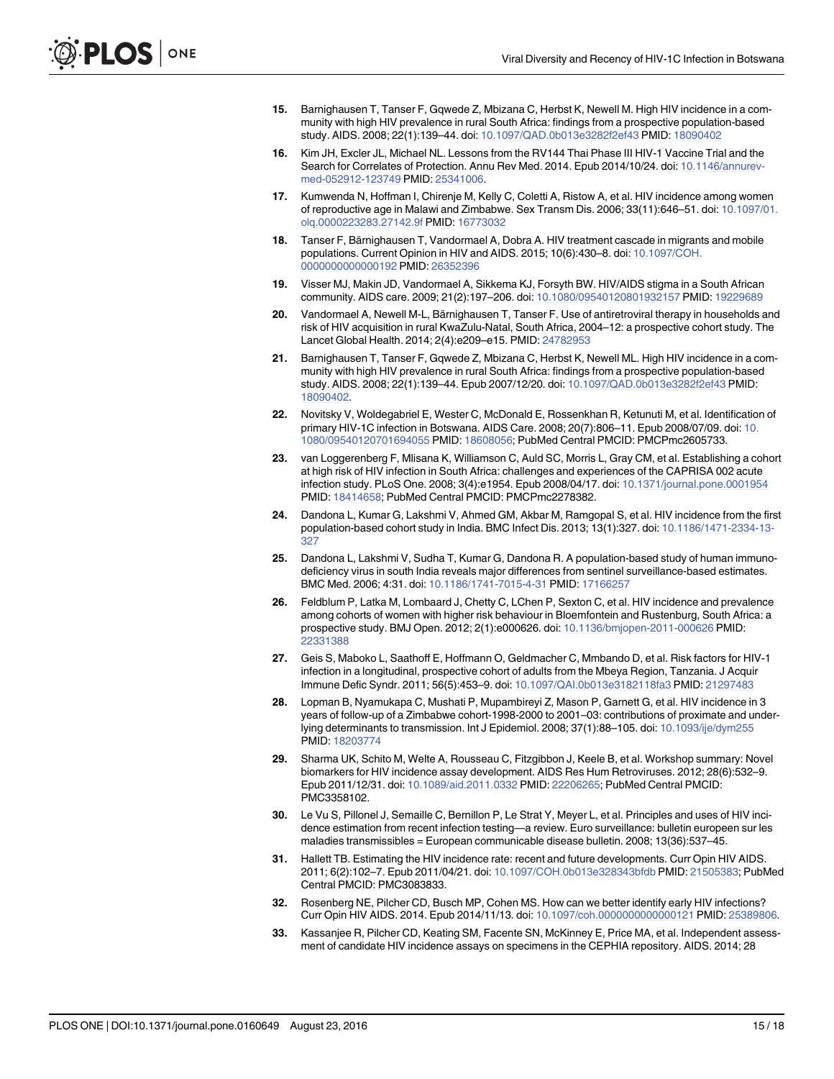- <span id="page-14-0"></span>[15.](#page-1-0) Barnighausen T, Tanser F, Gqwede Z, Mbizana C, Herbst K, Newell M. High HIV incidence in a community with high HIV prevalence in rural South Africa: findings from a prospective population-based study. AIDS. 2008; 22(1):139–44. doi: [10.1097/QAD.0b013e3282f2ef43](http://dx.doi.org/10.1097/QAD.0b013e3282f2ef43) PMID: [18090402](http://www.ncbi.nlm.nih.gov/pubmed/18090402)
- 16. Kim JH, Excler JL, Michael NL. Lessons from the RV144 Thai Phase III HIV-1 Vaccine Trial and the Search for Correlates of Protection. Annu Rev Med. 2014. Epub 2014/10/24. doi: [10.1146/annurev](http://dx.doi.org/10.1146/annurev-med-052912-123749)[med-052912-123749](http://dx.doi.org/10.1146/annurev-med-052912-123749) PMID: [25341006](http://www.ncbi.nlm.nih.gov/pubmed/25341006).
- [17.](#page-1-0) Kumwenda N, Hoffman I, Chirenje M, Kelly C, Coletti A, Ristow A, et al. HIV incidence among women of reproductive age in Malawi and Zimbabwe. Sex Transm Dis. 2006; 33(11):646–51. doi: [10.1097/01.](http://dx.doi.org/10.1097/01.olq.0000223283.27142.9f) [olq.0000223283.27142.9f](http://dx.doi.org/10.1097/01.olq.0000223283.27142.9f) PMID: [16773032](http://www.ncbi.nlm.nih.gov/pubmed/16773032)
- [18.](#page-1-0) Tanser F, Bärnighausen T, Vandormael A, Dobra A. HIV treatment cascade in migrants and mobile populations. Current Opinion in HIV and AIDS. 2015; 10(6):430–8. doi: [10.1097/COH.](http://dx.doi.org/10.1097/COH.0000000000000192) [0000000000000192](http://dx.doi.org/10.1097/COH.0000000000000192) PMID: [26352396](http://www.ncbi.nlm.nih.gov/pubmed/26352396)
- 19. Visser MJ, Makin JD, Vandormael A, Sikkema KJ, Forsyth BW. HIV/AIDS stigma in a South African community. AIDS care. 2009; 21(2):197–206. doi: [10.1080/09540120801932157](http://dx.doi.org/10.1080/09540120801932157) PMID: [19229689](http://www.ncbi.nlm.nih.gov/pubmed/19229689)
- [20.](#page-1-0) Vandormael A, Newell M-L, Bärnighausen T, Tanser F. Use of antiretroviral therapy in households and risk of HIV acquisition in rural KwaZulu-Natal, South Africa, 2004–12: a prospective cohort study. The Lancet Global Health. 2014; 2(4):e209–e15. PMID: [24782953](http://www.ncbi.nlm.nih.gov/pubmed/24782953)
- [21.](#page-1-0) Barnighausen T, Tanser F, Gqwede Z, Mbizana C, Herbst K, Newell ML. High HIV incidence in a community with high HIV prevalence in rural South Africa: findings from a prospective population-based study. AIDS. 2008; 22(1):139–44. Epub 2007/12/20. doi: [10.1097/QAD.0b013e3282f2ef43](http://dx.doi.org/10.1097/QAD.0b013e3282f2ef43) PMID: [18090402](http://www.ncbi.nlm.nih.gov/pubmed/18090402).
- 22. Novitsky V, Woldegabriel E, Wester C, McDonald E, Rossenkhan R, Ketunuti M, et al. Identification of primary HIV-1C infection in Botswana. AIDS Care. 2008; 20(7):806–11. Epub 2008/07/09. doi: [10.](http://dx.doi.org/10.1080/09540120701694055) [1080/09540120701694055](http://dx.doi.org/10.1080/09540120701694055) PMID: [18608056](http://www.ncbi.nlm.nih.gov/pubmed/18608056); PubMed Central PMCID: PMCPmc2605733.
- [23.](#page-1-0) van Loggerenberg F, Mlisana K, Williamson C, Auld SC, Morris L, Gray CM, et al. Establishing a cohort at high risk of HIV infection in South Africa: challenges and experiences of the CAPRISA 002 acute infection study. PLoS One. 2008; 3(4):e1954. Epub 2008/04/17. doi: [10.1371/journal.pone.0001954](http://dx.doi.org/10.1371/journal.pone.0001954) PMID: [18414658;](http://www.ncbi.nlm.nih.gov/pubmed/18414658) PubMed Central PMCID: PMCPmc2278382.
- [24.](#page-1-0) Dandona L, Kumar G, Lakshmi V, Ahmed GM, Akbar M, Ramgopal S, et al. HIV incidence from the first population-based cohort study in India. BMC Infect Dis. 2013; 13(1):327. doi: [10.1186/1471-2334-13-](http://dx.doi.org/10.1186/1471-2334-13-327) [327](http://dx.doi.org/10.1186/1471-2334-13-327)
- 25. Dandona L, Lakshmi V, Sudha T, Kumar G, Dandona R. A population-based study of human immunodeficiency virus in south India reveals major differences from sentinel surveillance-based estimates. BMC Med. 2006; 4:31. doi: [10.1186/1741-7015-4-31](http://dx.doi.org/10.1186/1741-7015-4-31) PMID: [17166257](http://www.ncbi.nlm.nih.gov/pubmed/17166257)
- 26. Feldblum P, Latka M, Lombaard J, Chetty C, LChen P, Sexton C, et al. HIV incidence and prevalence among cohorts of women with higher risk behaviour in Bloemfontein and Rustenburg, South Africa: a prospective study. BMJ Open. 2012; 2(1):e000626. doi: [10.1136/bmjopen-2011-000626](http://dx.doi.org/10.1136/bmjopen-2011-000626) PMID: [22331388](http://www.ncbi.nlm.nih.gov/pubmed/22331388)
- 27. Geis S, Maboko L, Saathoff E, Hoffmann O, Geldmacher C, Mmbando D, et al. Risk factors for HIV-1 infection in a longitudinal, prospective cohort of adults from the Mbeya Region, Tanzania. J Acquir Immune Defic Syndr. 2011; 56(5):453–9. doi: [10.1097/QAI.0b013e3182118fa3](http://dx.doi.org/10.1097/QAI.0b013e3182118fa3) PMID: [21297483](http://www.ncbi.nlm.nih.gov/pubmed/21297483)
- [28.](#page-1-0) Lopman B, Nyamukapa C, Mushati P, Mupambireyi Z, Mason P, Garnett G, et al. HIV incidence in 3 years of follow-up of a Zimbabwe cohort-1998-2000 to 2001–03: contributions of proximate and underlying determinants to transmission. Int J Epidemiol. 2008; 37(1):88–105. doi: [10.1093/ije/dym255](http://dx.doi.org/10.1093/ije/dym255) PMID: [18203774](http://www.ncbi.nlm.nih.gov/pubmed/18203774)
- [29.](#page-1-0) Sharma UK, Schito M, Welte A, Rousseau C, Fitzgibbon J, Keele B, et al. Workshop summary: Novel biomarkers for HIV incidence assay development. AIDS Res Hum Retroviruses. 2012; 28(6):532–9. Epub 2011/12/31. doi: [10.1089/aid.2011.0332](http://dx.doi.org/10.1089/aid.2011.0332) PMID: [22206265;](http://www.ncbi.nlm.nih.gov/pubmed/22206265) PubMed Central PMCID: PMC3358102.
- [30.](#page-11-0) Le Vu S, Pillonel J, Semaille C, Bernillon P, Le Strat Y, Meyer L, et al. Principles and uses of HIV incidence estimation from recent infection testing—a review. Euro surveillance: bulletin europeen sur les maladies transmissibles = European communicable disease bulletin. 2008; 13(36):537–45.
- [31.](#page-11-0) Hallett TB. Estimating the HIV incidence rate: recent and future developments. Curr Opin HIV AIDS. 2011; 6(2):102–7. Epub 2011/04/21. doi: [10.1097/COH.0b013e328343bfdb](http://dx.doi.org/10.1097/COH.0b013e328343bfdb) PMID: [21505383](http://www.ncbi.nlm.nih.gov/pubmed/21505383); PubMed Central PMCID: PMC3083833.
- [32.](#page-9-0) Rosenberg NE, Pilcher CD, Busch MP, Cohen MS. How can we better identify early HIV infections? Curr Opin HIV AIDS. 2014. Epub 2014/11/13. doi: [10.1097/coh.0000000000000121](http://dx.doi.org/10.1097/coh.0000000000000121) PMID: [25389806](http://www.ncbi.nlm.nih.gov/pubmed/25389806).
- [33.](#page-2-0) Kassanjee R, Pilcher CD, Keating SM, Facente SN, McKinney E, Price MA, et al. Independent assessment of candidate HIV incidence assays on specimens in the CEPHIA repository. AIDS. 2014; 28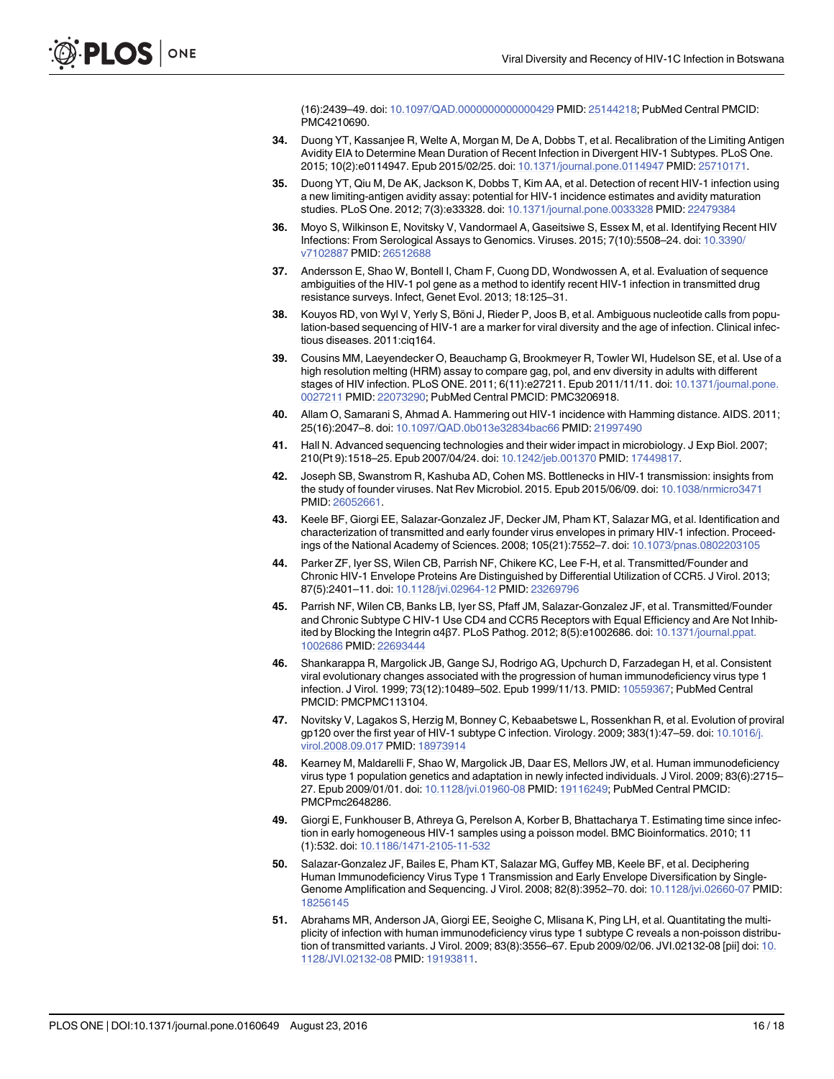(16):2439–49. doi: [10.1097/QAD.0000000000000429](http://dx.doi.org/10.1097/QAD.0000000000000429) PMID: [25144218;](http://www.ncbi.nlm.nih.gov/pubmed/25144218) PubMed Central PMCID: PMC4210690.

- <span id="page-15-0"></span>[34.](#page-2-0) Duong YT, Kassanjee R, Welte A, Morgan M, De A, Dobbs T, et al. Recalibration of the Limiting Antigen Avidity EIA to Determine Mean Duration of Recent Infection in Divergent HIV-1 Subtypes. PLoS One. 2015; 10(2):e0114947. Epub 2015/02/25. doi: [10.1371/journal.pone.0114947](http://dx.doi.org/10.1371/journal.pone.0114947) PMID: [25710171](http://www.ncbi.nlm.nih.gov/pubmed/25710171).
- [35.](#page-1-0) Duong YT, Qiu M, De AK, Jackson K, Dobbs T, Kim AA, et al. Detection of recent HIV-1 infection using a new limiting-antigen avidity assay: potential for HIV-1 incidence estimates and avidity maturation studies. PLoS One. 2012; 7(3):e33328. doi: [10.1371/journal.pone.0033328](http://dx.doi.org/10.1371/journal.pone.0033328) PMID: [22479384](http://www.ncbi.nlm.nih.gov/pubmed/22479384)
- [36.](#page-1-0) Moyo S, Wilkinson E, Novitsky V, Vandormael A, Gaseitsiwe S, Essex M, et al. Identifying Recent HIV Infections: From Serological Assays to Genomics. Viruses. 2015; 7(10):5508–24. doi: [10.3390/](http://dx.doi.org/10.3390/v7102887) [v7102887](http://dx.doi.org/10.3390/v7102887) PMID: [26512688](http://www.ncbi.nlm.nih.gov/pubmed/26512688)
- [37.](#page-1-0) Andersson E, Shao W, Bontell I, Cham F, Cuong DD, Wondwossen A, et al. Evaluation of sequence ambiguities of the HIV-1 pol gene as a method to identify recent HIV-1 infection in transmitted drug resistance surveys. Infect, Genet Evol. 2013; 18:125–31.
- [38.](#page-2-0) Kouyos RD, von Wyl V, Yerly S, Böni J, Rieder P, Joos B, et al. Ambiguous nucleotide calls from population-based sequencing of HIV-1 are a marker for viral diversity and the age of infection. Clinical infectious diseases. 2011:ciq164.
- [39.](#page-1-0) Cousins MM, Laeyendecker O, Beauchamp G, Brookmeyer R, Towler WI, Hudelson SE, et al. Use of a high resolution melting (HRM) assay to compare gag, pol, and env diversity in adults with different stages of HIV infection. PLoS ONE. 2011; 6(11):e27211. Epub 2011/11/11. doi: [10.1371/journal.pone.](http://dx.doi.org/10.1371/journal.pone.0027211) [0027211](http://dx.doi.org/10.1371/journal.pone.0027211) PMID: [22073290](http://www.ncbi.nlm.nih.gov/pubmed/22073290); PubMed Central PMCID: PMC3206918.
- 40. Allam O, Samarani S, Ahmad A. Hammering out HIV-1 incidence with Hamming distance. AIDS. 2011; 25(16):2047–8. doi: [10.1097/QAD.0b013e32834bac66](http://dx.doi.org/10.1097/QAD.0b013e32834bac66) PMID: [21997490](http://www.ncbi.nlm.nih.gov/pubmed/21997490)
- [41.](#page-1-0) Hall N. Advanced sequencing technologies and their wider impact in microbiology. J Exp Biol. 2007; 210(Pt 9):1518–25. Epub 2007/04/24. doi: [10.1242/jeb.001370](http://dx.doi.org/10.1242/jeb.001370) PMID: [17449817.](http://www.ncbi.nlm.nih.gov/pubmed/17449817)
- [42.](#page-1-0) Joseph SB, Swanstrom R, Kashuba AD, Cohen MS. Bottlenecks in HIV-1 transmission: insights from the study of founder viruses. Nat Rev Microbiol. 2015. Epub 2015/06/09. doi: [10.1038/nrmicro3471](http://dx.doi.org/10.1038/nrmicro3471) PMID: [26052661.](http://www.ncbi.nlm.nih.gov/pubmed/26052661)
- [43.](#page-2-0) Keele BF, Giorgi EE, Salazar-Gonzalez JF, Decker JM, Pham KT, Salazar MG, et al. Identification and characterization of transmitted and early founder virus envelopes in primary HIV-1 infection. Proceedings of the National Academy of Sciences. 2008; 105(21):7552–7. doi: [10.1073/pnas.0802203105](http://dx.doi.org/10.1073/pnas.0802203105)
- 44. Parker ZF, Iyer SS, Wilen CB, Parrish NF, Chikere KC, Lee F-H, et al. Transmitted/Founder and Chronic HIV-1 Envelope Proteins Are Distinguished by Differential Utilization of CCR5. J Virol. 2013; 87(5):2401–11. doi: [10.1128/jvi.02964-12](http://dx.doi.org/10.1128/jvi.02964-12) PMID: [23269796](http://www.ncbi.nlm.nih.gov/pubmed/23269796)
- [45.](#page-1-0) Parrish NF, Wilen CB, Banks LB, Iyer SS, Pfaff JM, Salazar-Gonzalez JF, et al. Transmitted/Founder and Chronic Subtype C HIV-1 Use CD4 and CCR5 Receptors with Equal Efficiency and Are Not Inhibited by Blocking the Integrin α4β7. PLoS Pathog. 2012; 8(5):e1002686. doi: [10.1371/journal.ppat.](http://dx.doi.org/10.1371/journal.ppat.1002686) [1002686](http://dx.doi.org/10.1371/journal.ppat.1002686) PMID: [22693444](http://www.ncbi.nlm.nih.gov/pubmed/22693444)
- [46.](#page-1-0) Shankarappa R, Margolick JB, Gange SJ, Rodrigo AG, Upchurch D, Farzadegan H, et al. Consistent viral evolutionary changes associated with the progression of human immunodeficiency virus type 1 infection. J Virol. 1999; 73(12):10489–502. Epub 1999/11/13. PMID: [10559367](http://www.ncbi.nlm.nih.gov/pubmed/10559367); PubMed Central PMCID: PMCPMC113104.
- [47.](#page-1-0) Novitsky V, Lagakos S, Herzig M, Bonney C, Kebaabetswe L, Rossenkhan R, et al. Evolution of proviral gp120 over the first year of HIV-1 subtype C infection. Virology. 2009; 383(1):47-59. doi: [10.1016/j.](http://dx.doi.org/10.1016/j.virol.2008.09.017) [virol.2008.09.017](http://dx.doi.org/10.1016/j.virol.2008.09.017) PMID: [18973914](http://www.ncbi.nlm.nih.gov/pubmed/18973914)
- [48.](#page-1-0) Kearney M, Maldarelli F, Shao W, Margolick JB, Daar ES, Mellors JW, et al. Human immunodeficiency virus type 1 population genetics and adaptation in newly infected individuals. J Virol. 2009; 83(6):2715– 27. Epub 2009/01/01. doi: [10.1128/jvi.01960-08](http://dx.doi.org/10.1128/jvi.01960-08) PMID: [19116249](http://www.ncbi.nlm.nih.gov/pubmed/19116249); PubMed Central PMCID: PMCPmc2648286.
- [49.](#page-2-0) Giorgi E, Funkhouser B, Athreya G, Perelson A, Korber B, Bhattacharya T. Estimating time since infection in early homogeneous HIV-1 samples using a poisson model. BMC Bioinformatics. 2010; 11 (1):532. doi: [10.1186/1471-2105-11-532](http://dx.doi.org/10.1186/1471-2105-11-532)
- [50.](#page-2-0) Salazar-Gonzalez JF, Bailes E, Pham KT, Salazar MG, Guffey MB, Keele BF, et al. Deciphering Human Immunodeficiency Virus Type 1 Transmission and Early Envelope Diversification by Single-Genome Amplification and Sequencing. J Virol. 2008; 82(8):3952–70. doi: [10.1128/jvi.02660-07](http://dx.doi.org/10.1128/jvi.02660-07) PMID: [18256145](http://www.ncbi.nlm.nih.gov/pubmed/18256145)
- [51.](#page-2-0) Abrahams MR, Anderson JA, Giorgi EE, Seoighe C, Mlisana K, Ping LH, et al. Quantitating the multiplicity of infection with human immunodeficiency virus type 1 subtype C reveals a non-poisson distribution of transmitted variants. J Virol. 2009; 83(8):3556–67. Epub 2009/02/06. JVI.02132-08 [pii] doi: [10.](http://dx.doi.org/10.1128/JVI.02132-08) [1128/JVI.02132-08](http://dx.doi.org/10.1128/JVI.02132-08) PMID: [19193811](http://www.ncbi.nlm.nih.gov/pubmed/19193811).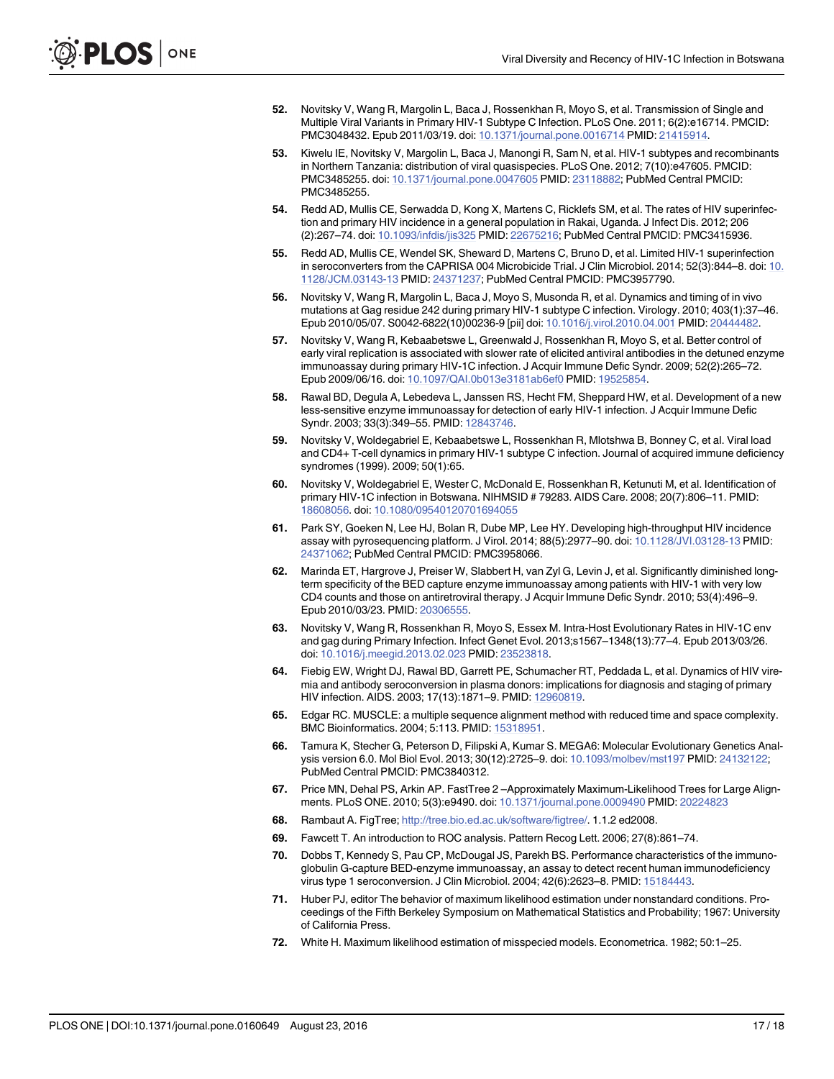- <span id="page-16-0"></span>52. Novitsky V, Wang R, Margolin L, Baca J, Rossenkhan R, Moyo S, et al. Transmission of Single and Multiple Viral Variants in Primary HIV-1 Subtype C Infection. PLoS One. 2011; 6(2):e16714. PMCID: PMC3048432. Epub 2011/03/19. doi: [10.1371/journal.pone.0016714](http://dx.doi.org/10.1371/journal.pone.0016714) PMID: [21415914](http://www.ncbi.nlm.nih.gov/pubmed/21415914).
- [53.](#page-2-0) Kiwelu IE, Novitsky V, Margolin L, Baca J, Manongi R, Sam N, et al. HIV-1 subtypes and recombinants in Northern Tanzania: distribution of viral quasispecies. PLoS One. 2012; 7(10):e47605. PMCID: PMC3485255. doi: [10.1371/journal.pone.0047605](http://dx.doi.org/10.1371/journal.pone.0047605) PMID: [23118882;](http://www.ncbi.nlm.nih.gov/pubmed/23118882) PubMed Central PMCID: PMC3485255.
- [54.](#page-2-0) Redd AD, Mullis CE, Serwadda D, Kong X, Martens C, Ricklefs SM, et al. The rates of HIV superinfection and primary HIV incidence in a general population in Rakai, Uganda. J Infect Dis. 2012; 206 (2):267–74. doi: [10.1093/infdis/jis325](http://dx.doi.org/10.1093/infdis/jis325) PMID: [22675216](http://www.ncbi.nlm.nih.gov/pubmed/22675216); PubMed Central PMCID: PMC3415936.
- [55.](#page-2-0) Redd AD, Mullis CE, Wendel SK, Sheward D, Martens C, Bruno D, et al. Limited HIV-1 superinfection in seroconverters from the CAPRISA 004 Microbicide Trial. J Clin Microbiol. 2014; 52(3):844–8. doi: [10.](http://dx.doi.org/10.1128/JCM.03143-13) [1128/JCM.03143-13](http://dx.doi.org/10.1128/JCM.03143-13) PMID: [24371237](http://www.ncbi.nlm.nih.gov/pubmed/24371237); PubMed Central PMCID: PMC3957790.
- [56.](#page-2-0) Novitsky V, Wang R, Margolin L, Baca J, Moyo S, Musonda R, et al. Dynamics and timing of in vivo mutations at Gag residue 242 during primary HIV-1 subtype C infection. Virology. 2010; 403(1):37–46. Epub 2010/05/07. S0042-6822(10)00236-9 [pii] doi: [10.1016/j.virol.2010.04.001](http://dx.doi.org/10.1016/j.virol.2010.04.001) PMID: [20444482.](http://www.ncbi.nlm.nih.gov/pubmed/20444482)
- [57.](#page-2-0) Novitsky V, Wang R, Kebaabetswe L, Greenwald J, Rossenkhan R, Moyo S, et al. Better control of early viral replication is associated with slower rate of elicited antiviral antibodies in the detuned enzyme immunoassay during primary HIV-1C infection. J Acquir Immune Defic Syndr. 2009; 52(2):265–72. Epub 2009/06/16. doi: [10.1097/QAI.0b013e3181ab6ef0](http://dx.doi.org/10.1097/QAI.0b013e3181ab6ef0) PMID: [19525854.](http://www.ncbi.nlm.nih.gov/pubmed/19525854)
- [58.](#page-2-0) Rawal BD, Degula A, Lebedeva L, Janssen RS, Hecht FM, Sheppard HW, et al. Development of a new less-sensitive enzyme immunoassay for detection of early HIV-1 infection. J Acquir Immune Defic Syndr. 2003; 33(3):349–55. PMID: [12843746.](http://www.ncbi.nlm.nih.gov/pubmed/12843746)
- [59.](#page-2-0) Novitsky V, Woldegabriel E, Kebaabetswe L, Rossenkhan R, Mlotshwa B, Bonney C, et al. Viral load and CD4+ T-cell dynamics in primary HIV-1 subtype C infection. Journal of acquired immune deficiency syndromes (1999). 2009; 50(1):65.
- [60.](#page-2-0) Novitsky V, Woldegabriel E, Wester C, McDonald E, Rossenkhan R, Ketunuti M, et al. Identification of primary HIV-1C infection in Botswana. NIHMSID # 79283. AIDS Care. 2008; 20(7):806–11. PMID: [18608056](http://www.ncbi.nlm.nih.gov/pubmed/18608056). doi: [10.1080/09540120701694055](http://dx.doi.org/10.1080/09540120701694055)
- [61.](#page-2-0) Park SY, Goeken N, Lee HJ, Bolan R, Dube MP, Lee HY. Developing high-throughput HIV incidence assay with pyrosequencing platform. J Virol. 2014; 88(5):2977–90. doi: [10.1128/JVI.03128-13](http://dx.doi.org/10.1128/JVI.03128-13) PMID: [24371062](http://www.ncbi.nlm.nih.gov/pubmed/24371062); PubMed Central PMCID: PMC3958066.
- [62.](#page-2-0) Marinda ET, Hargrove J, Preiser W, Slabbert H, van Zyl G, Levin J, et al. Significantly diminished longterm specificity of the BED capture enzyme immunoassay among patients with HIV-1 with very low CD4 counts and those on antiretroviral therapy. J Acquir Immune Defic Syndr. 2010; 53(4):496–9. Epub 2010/03/23. PMID: [20306555.](http://www.ncbi.nlm.nih.gov/pubmed/20306555)
- [63.](#page-3-0) Novitsky V, Wang R, Rossenkhan R, Moyo S, Essex M. Intra-Host Evolutionary Rates in HIV-1C env and gag during Primary Infection. Infect Genet Evol. 2013;s1567–1348(13):77–4. Epub 2013/03/26. doi: [10.1016/j.meegid.2013.02.023](http://dx.doi.org/10.1016/j.meegid.2013.02.023) PMID: [23523818.](http://www.ncbi.nlm.nih.gov/pubmed/23523818)
- [64.](#page-3-0) Fiebig EW, Wright DJ, Rawal BD, Garrett PE, Schumacher RT, Peddada L, et al. Dynamics of HIV viremia and antibody seroconversion in plasma donors: implications for diagnosis and staging of primary HIV infection. AIDS. 2003; 17(13):1871–9. PMID: [12960819](http://www.ncbi.nlm.nih.gov/pubmed/12960819).
- [65.](#page-3-0) Edgar RC. MUSCLE: a multiple sequence alignment method with reduced time and space complexity. BMC Bioinformatics. 2004; 5:113. PMID: [15318951](http://www.ncbi.nlm.nih.gov/pubmed/15318951).
- [66.](#page-3-0) Tamura K, Stecher G, Peterson D, Filipski A, Kumar S. MEGA6: Molecular Evolutionary Genetics Analysis version 6.0. Mol Biol Evol. 2013; 30(12):2725–9. doi: [10.1093/molbev/mst197](http://dx.doi.org/10.1093/molbev/mst197) PMID: [24132122;](http://www.ncbi.nlm.nih.gov/pubmed/24132122) PubMed Central PMCID: PMC3840312.
- [67.](#page-3-0) Price MN, Dehal PS, Arkin AP. FastTree 2 –Approximately Maximum-Likelihood Trees for Large Alignments. PLoS ONE. 2010; 5(3):e9490. doi: [10.1371/journal.pone.0009490](http://dx.doi.org/10.1371/journal.pone.0009490) PMID: [20224823](http://www.ncbi.nlm.nih.gov/pubmed/20224823)
- [68.](#page-3-0) Rambaut A. FigTree; <http://tree.bio.ed.ac.uk/software/figtree/>. 1.1.2 ed2008.
- [69.](#page-3-0) Fawcett T. An introduction to ROC analysis. Pattern Recog Lett. 2006; 27(8):861–74.
- [70.](#page-3-0) Dobbs T, Kennedy S, Pau CP, McDougal JS, Parekh BS. Performance characteristics of the immunoglobulin G-capture BED-enzyme immunoassay, an assay to detect recent human immunodeficiency virus type 1 seroconversion. J Clin Microbiol. 2004; 42(6):2623–8. PMID: [15184443.](http://www.ncbi.nlm.nih.gov/pubmed/15184443)
- [71.](#page-4-0) Huber PJ, editor The behavior of maximum likelihood estimation under nonstandard conditions. Proceedings of the Fifth Berkeley Symposium on Mathematical Statistics and Probability; 1967: University of California Press.
- [72.](#page-4-0) White H. Maximum likelihood estimation of misspecied models. Econometrica. 1982; 50:1–25.